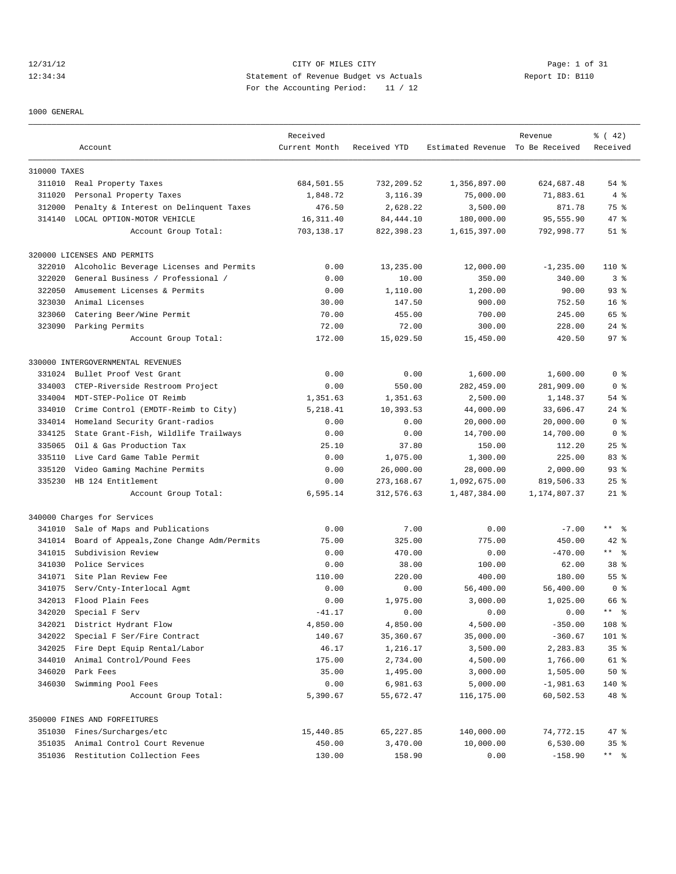# 12/31/12 CITY OF MILES CITY Page: 1 of 31 12:34:34 Statement of Revenue Budget vs Actuals Report ID: B110 For the Accounting Period: 11 / 12

1000 GENERAL

|              |                                           | Received      |              |                                  | Revenue      | $*(42)$                      |
|--------------|-------------------------------------------|---------------|--------------|----------------------------------|--------------|------------------------------|
|              | Account                                   | Current Month | Received YTD | Estimated Revenue To Be Received |              | Received                     |
| 310000 TAXES |                                           |               |              |                                  |              |                              |
|              | 311010 Real Property Taxes                | 684,501.55    | 732,209.52   | 1,356,897.00                     | 624,687.48   | 54%                          |
| 311020       | Personal Property Taxes                   | 1,848.72      | 3,116.39     | 75,000.00                        | 71,883.61    | 4%                           |
| 312000       | Penalty & Interest on Delinquent Taxes    | 476.50        | 2,628.22     | 3,500.00                         | 871.78       | 75 %                         |
|              | 314140 LOCAL OPTION-MOTOR VEHICLE         | 16, 311.40    | 84, 444.10   | 180,000.00                       | 95,555.90    | 47 %                         |
|              | Account Group Total:                      | 703,138.17    | 822,398.23   | 1,615,397.00                     | 792,998.77   | $51$ %                       |
|              | 320000 LICENSES AND PERMITS               |               |              |                                  |              |                              |
| 322010       | Alcoholic Beverage Licenses and Permits   | 0.00          | 13,235.00    | 12,000.00                        | $-1, 235.00$ | $110*$                       |
| 322020       | General Business / Professional /         | 0.00          | 10.00        | 350.00                           | 340.00       | 3 <sup>8</sup>               |
| 322050       | Amusement Licenses & Permits              | 0.00          | 1,110.00     | 1,200.00                         | 90.00        | $93$ $%$                     |
| 323030       | Animal Licenses                           | 30.00         | 147.50       | 900.00                           | 752.50       | 16 <sup>8</sup>              |
| 323060       | Catering Beer/Wine Permit                 | 70.00         | 455.00       | 700.00                           | 245.00       | 65 %                         |
|              | 323090 Parking Permits                    | 72.00         | 72.00        | 300.00                           | 228.00       | $24$ %                       |
|              | Account Group Total:                      | 172.00        | 15,029.50    | 15,450.00                        | 420.50       | 97%                          |
|              | 330000 INTERGOVERNMENTAL REVENUES         |               |              |                                  |              |                              |
| 331024       | Bullet Proof Vest Grant                   | 0.00          | 0.00         | 1,600.00                         | 1,600.00     | 0 <sup>8</sup>               |
| 334003       | CTEP-Riverside Restroom Project           | 0.00          | 550.00       | 282,459.00                       | 281,909.00   | 0 <sup>8</sup>               |
| 334004       | MDT-STEP-Police OT Reimb                  | 1,351.63      | 1,351.63     | 2,500.00                         | 1,148.37     | 54 %                         |
| 334010       | Crime Control (EMDTF-Reimb to City)       | 5,218.41      | 10,393.53    | 44,000.00                        | 33,606.47    | $24$ $\frac{6}{3}$           |
| 334014       | Homeland Security Grant-radios            | 0.00          | 0.00         | 20,000.00                        | 20,000.00    | 0 <sup>8</sup>               |
| 334125       | State Grant-Fish, Wildlife Trailways      | 0.00          | 0.00         | 14,700.00                        | 14,700.00    | 0 <sup>8</sup>               |
| 335065       | Oil & Gas Production Tax                  | 25.10         | 37.80        | 150.00                           | 112.20       | 25%                          |
| 335110       | Live Card Game Table Permit               | 0.00          | 1,075.00     | 1,300.00                         | 225.00       | 83%                          |
| 335120       | Video Gaming Machine Permits              | 0.00          | 26,000.00    | 28,000.00                        | 2,000.00     | $93$ $%$                     |
| 335230       | HB 124 Entitlement                        | 0.00          | 273,168.67   | 1,092,675.00                     | 819,506.33   | $25$ %                       |
|              | Account Group Total:                      | 6,595.14      | 312,576.63   | 1,487,384.00                     | 1,174,807.37 | $21$ %                       |
|              | 340000 Charges for Services               |               |              |                                  |              |                              |
| 341010       | Sale of Maps and Publications             | 0.00          | 7.00         | 0.00                             | $-7.00$      | $***$ $ -$                   |
| 341014       | Board of Appeals, Zone Change Adm/Permits | 75.00         | 325.00       | 775.00                           | 450.00       | $42$ %                       |
| 341015       | Subdivision Review                        | 0.00          | 470.00       | 0.00                             | $-470.00$    | $***$ $=$ $\frac{6}{3}$      |
| 341030       | Police Services                           | 0.00          | 38.00        | 100.00                           | 62.00        | 38 %                         |
|              | 341071 Site Plan Review Fee               | 110.00        | 220.00       | 400.00                           | 180.00       | 55 %                         |
| 341075       | Serv/Cnty-Interlocal Agmt                 | 0.00          | 0.00         | 56,400.00                        | 56,400.00    | 0 <sup>8</sup>               |
| 342013       | Flood Plain Fees                          | 0.00          | 1,975.00     | 3,000.00                         | 1,025.00     | 66 %                         |
| 342020       | Special F Serv                            | $-41.17$      | 0.00         | 0.00                             | 0.00         | $\star$ $\star$<br>$\approx$ |
|              | 342021 District Hydrant Flow              | 4,850.00      | 4,850.00     | 4,500.00                         | $-350.00$    | 108 %                        |
| 342022       | Special F Ser/Fire Contract               | 140.67        | 35,360.67    | 35,000.00                        | $-360.67$    | 101 %                        |
| 342025       | Fire Dept Equip Rental/Labor              | 46.17         | 1,216.17     | 3,500.00                         | 2,283.83     | 35%                          |
| 344010       | Animal Control/Pound Fees                 | 175.00        | 2,734.00     | 4,500.00                         | 1,766.00     | 61 %                         |
| 346020       | Park Fees                                 | 35.00         | 1,495.00     | 3,000.00                         | 1,505.00     | 50%                          |
| 346030       | Swimming Pool Fees                        | 0.00          | 6,981.63     | 5,000.00                         | $-1,981.63$  | 140 %                        |
|              | Account Group Total:                      | 5,390.67      | 55,672.47    | 116,175.00                       | 60,502.53    | 48 %                         |
|              | 350000 FINES AND FORFEITURES              |               |              |                                  |              |                              |
|              | 351030 Fines/Surcharges/etc               | 15,440.85     | 65,227.85    | 140,000.00                       | 74,772.15    | 47 %                         |
|              | 351035 Animal Control Court Revenue       | 450.00        | 3,470.00     | 10,000.00                        | 6,530.00     | 35%                          |
|              | 351036 Restitution Collection Fees        | 130.00        | 158.90       | 0.00                             | $-158.90$    | $***$ $ \frac{6}{9}$         |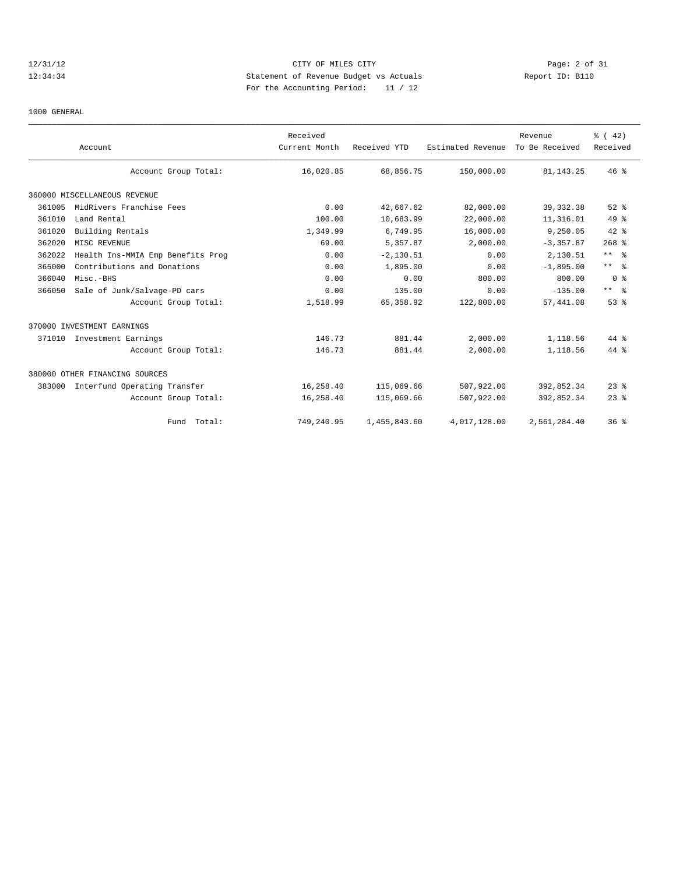# 12/31/12 CITY OF MILES CITY Page: 2 of 31 12:34:34 Statement of Revenue Budget vs Actuals Report ID: B110 For the Accounting Period: 11 / 12

1000 GENERAL

|        | Account                           | Received<br>Current Month | Received YTD | Estimated Revenue | Revenue<br>To Be Received | % (42)<br>Received |
|--------|-----------------------------------|---------------------------|--------------|-------------------|---------------------------|--------------------|
|        | Account Group Total:              | 16,020.85                 | 68,856.75    | 150,000.00        | 81, 143. 25               | 46%                |
|        | 360000 MISCELLANEOUS REVENUE      |                           |              |                   |                           |                    |
| 361005 | MidRivers Franchise Fees          | 0.00                      | 42,667.62    | 82,000.00         | 39, 332.38                | $52$ $%$           |
| 361010 | Land Rental                       | 100.00                    | 10,683.99    | 22,000.00         | 11,316.01                 | $49*$              |
| 361020 | Building Rentals                  | 1,349.99                  | 6,749.95     | 16,000.00         | 9,250.05                  | $42$ %             |
| 362020 | MISC REVENUE                      | 69.00                     | 5,357.87     | 2,000.00          | $-3, 357.87$              | $268$ %            |
| 362022 | Health Ins-MMIA Emp Benefits Prog | 0.00                      | $-2, 130.51$ | 0.00              | 2,130.51                  | $***$ $ -$         |
| 365000 | Contributions and Donations       | 0.00                      | 1,895.00     | 0.00              | $-1.895.00$               | $***$ $ -$         |
| 366040 | Misc.-BHS                         | 0.00                      | 0.00         | 800.00            | 800.00                    | 0 <sup>8</sup>     |
| 366050 | Sale of Junk/Salvage-PD cars      | 0.00                      | 135.00       | 0.00              | $-135.00$                 | $***$ $ -$         |
|        | Account Group Total:              | 1,518.99                  | 65, 358.92   | 122,800.00        | 57,441.08                 | 53%                |
|        | 370000 INVESTMENT EARNINGS        |                           |              |                   |                           |                    |
| 371010 | Investment Earnings               | 146.73                    | 881.44       | 2,000.00          | 1,118.56                  | 44 %               |
|        | Account Group Total:              | 146.73                    | 881.44       | 2,000.00          | 1,118.56                  | 44 %               |
|        | 380000 OTHER FINANCING SOURCES    |                           |              |                   |                           |                    |
| 383000 | Interfund Operating Transfer      | 16,258.40                 | 115,069.66   | 507,922.00        | 392,852.34                | $23$ $%$           |
|        | Account Group Total:              | 16,258.40                 | 115,069.66   | 507,922.00        | 392,852.34                | $23$ $%$           |
|        | Fund Total:                       | 749,240.95                | 1,455,843.60 | 4,017,128.00      | 2,561,284.40              | 36%                |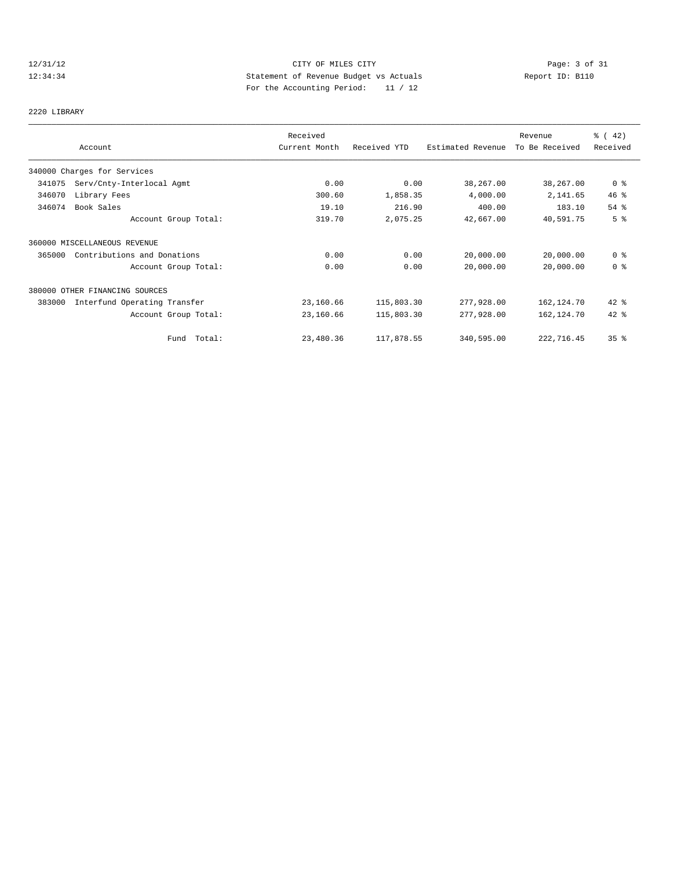# 12/31/12 CITY OF MILES CITY Page: 3 of 31<br>12:34:34 Statement of Revenue Budget vs Actuals Report ID: B110<br>12:34:34 Report ID: B110 12:34:34 Statement of Revenue Budget vs Actuals Report ID: B110 For the Accounting Period: 11 / 12

# 2220 LIBRARY

|        |                                | Received      |              |                   | Revenue        | % (42)         |
|--------|--------------------------------|---------------|--------------|-------------------|----------------|----------------|
|        | Account                        | Current Month | Received YTD | Estimated Revenue | To Be Received | Received       |
|        | 340000 Charges for Services    |               |              |                   |                |                |
| 341075 | Serv/Cnty-Interlocal Agmt      | 0.00          | 0.00         | 38,267.00         | 38,267.00      | 0 <sup>8</sup> |
| 346070 | Library Fees                   | 300.60        | 1,858.35     | 4,000.00          | 2,141.65       | $46$ %         |
| 346074 | Book Sales                     | 19.10         | 216.90       | 400.00            | 183.10         | 54%            |
|        | Account Group Total:           | 319.70        | 2,075.25     | 42,667.00         | 40,591.75      | 5 <sup>°</sup> |
|        | 360000 MISCELLANEOUS REVENUE   |               |              |                   |                |                |
| 365000 | Contributions and Donations    | 0.00          | 0.00         | 20,000.00         | 20,000.00      | 0 <sup>8</sup> |
|        | Account Group Total:           | 0.00          | 0.00         | 20,000.00         | 20,000.00      | 0 <sup>8</sup> |
|        | 380000 OTHER FINANCING SOURCES |               |              |                   |                |                |
| 383000 | Interfund Operating Transfer   | 23,160.66     | 115,803.30   | 277,928.00        | 162,124.70     | $42$ %         |
|        | Account Group Total:           | 23,160.66     | 115,803.30   | 277,928.00        | 162, 124.70    | 42 %           |
|        | Fund Total:                    | 23,480.36     | 117,878.55   | 340,595.00        | 222,716.45     | 35%            |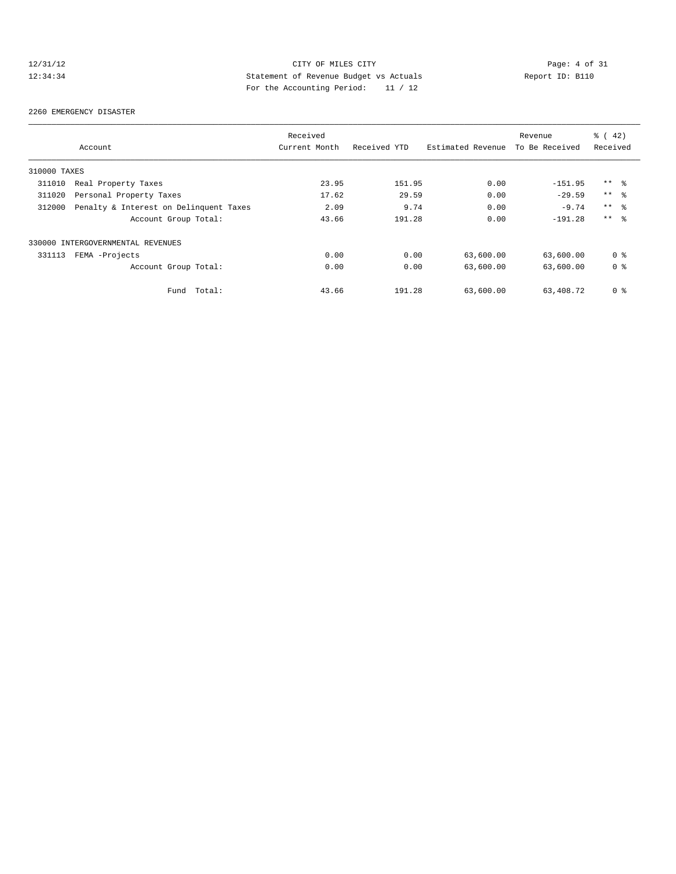# 12/31/12 CITY OF MILES CITY Page: 4 of 31<br>12:34:34 Statement of Revenue Budget vs Actuals Report ID: B110<br>12:34:34 Report ID: B110 12:34:34 Statement of Revenue Budget vs Actuals Report ID: B110 For the Accounting Period: 11 / 12

#### 2260 EMERGENCY DISASTER

|              |                                        | Received      |              |                   | Revenue        | % (42)         |
|--------------|----------------------------------------|---------------|--------------|-------------------|----------------|----------------|
|              | Account                                | Current Month | Received YTD | Estimated Revenue | To Be Received | Received       |
| 310000 TAXES |                                        |               |              |                   |                |                |
| 311010       | Real Property Taxes                    | 23.95         | 151.95       | 0.00              | $-151.95$      | $***$ %        |
| 311020       | Personal Property Taxes                | 17.62         | 29.59        | 0.00              | $-29.59$       | $***$ 8        |
| 312000       | Penalty & Interest on Delinquent Taxes | 2.09          | 9.74         | 0.00              | $-9.74$        | $***$ %        |
|              | Account Group Total:                   | 43.66         | 191.28       | 0.00              | $-191.28$      | $***$ $ -$     |
|              | 330000 INTERGOVERNMENTAL REVENUES      |               |              |                   |                |                |
| 331113       | FEMA -Projects                         | 0.00          | 0.00         | 63,600.00         | 63,600.00      | 0 <sub>8</sub> |
|              | Account Group Total:                   | 0.00          | 0.00         | 63,600.00         | 63,600.00      | 0 <sub>8</sub> |
|              | Total:<br>Fund                         | 43.66         | 191.28       | 63,600.00         | 63,408.72      | 0 <sup>8</sup> |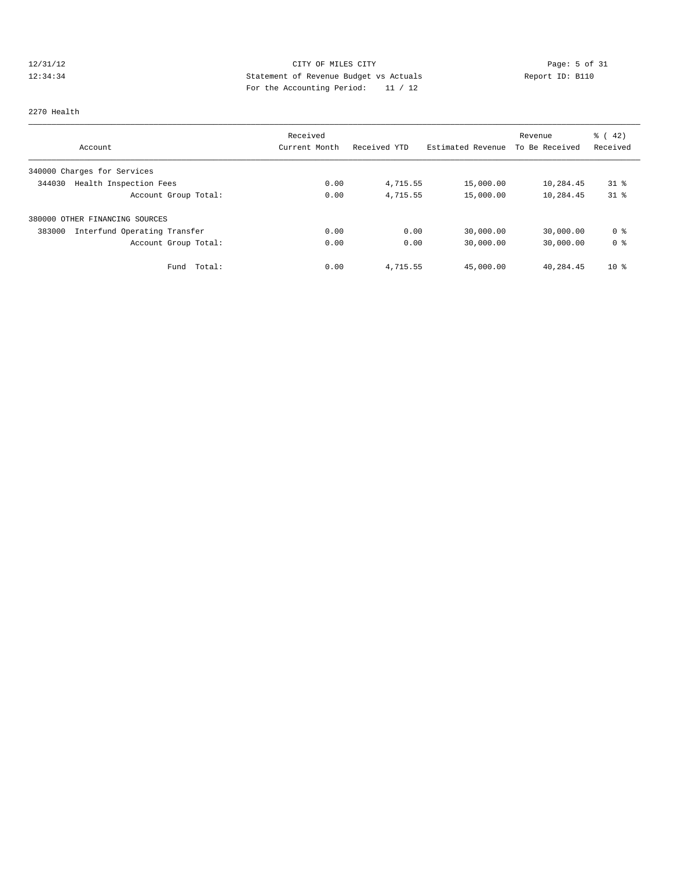# 12/31/12 CITY OF MILES CITY Page: 5 of 31<br>12:34:34 Statement of Revenue Budget vs Actuals Report ID: B110<br>12:34:34 Report ID: B110 12:34:34 Statement of Revenue Budget vs Actuals Report ID: B110 For the Accounting Period: 11 / 12

### 2270 Health

|                                        | Received      |              |                   | Revenue        | $\frac{1}{6}$ (42) |
|----------------------------------------|---------------|--------------|-------------------|----------------|--------------------|
| Account                                | Current Month | Received YTD | Estimated Revenue | To Be Received | Received           |
| 340000 Charges for Services            |               |              |                   |                |                    |
| Health Inspection Fees<br>344030       | 0.00          | 4,715.55     | 15,000.00         | 10,284.45      | $31$ $\approx$     |
| Account Group Total:                   | 0.00          | 4,715.55     | 15,000.00         | 10,284.45      | $31$ %             |
| 380000 OTHER FINANCING SOURCES         |               |              |                   |                |                    |
| Interfund Operating Transfer<br>383000 | 0.00          | 0.00         | 30,000.00         | 30,000.00      | 0 %                |
| Account Group Total:                   | 0.00          | 0.00         | 30,000.00         | 30,000.00      | 0 <sup>8</sup>     |
| Total:<br>Fund                         | 0.00          | 4,715.55     | 45,000.00         | 40,284.45      | 10 <sup>8</sup>    |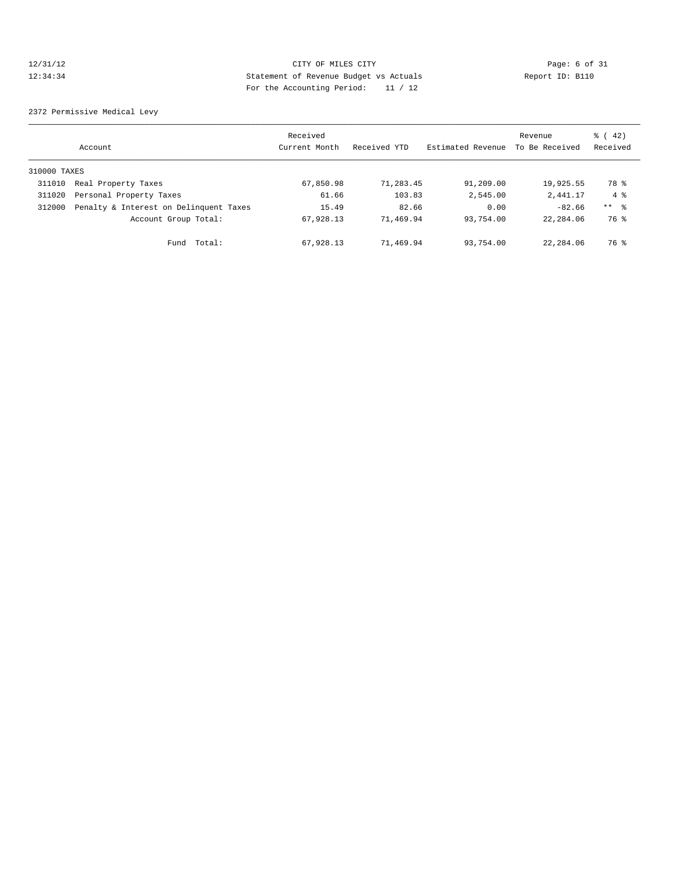# 12/31/12 CITY OF MILES CITY Page: 6 of 31<br>12:34:34 Statement of Revenue Budget vs Actuals Report ID: B110<br>12:34:34 Report ID: B110 12:34:34 Statement of Revenue Budget vs Actuals Report ID: B110 For the Accounting Period: 11 / 12

2372 Permissive Medical Levy

|              | Account                                | Received<br>Current Month | Received YTD | Estimated Revenue | Revenue<br>To Be Received | $\frac{1}{6}$ ( 42)<br>Received |
|--------------|----------------------------------------|---------------------------|--------------|-------------------|---------------------------|---------------------------------|
| 310000 TAXES |                                        |                           |              |                   |                           |                                 |
| 311010       | Real Property Taxes                    | 67,850.98                 | 71,283.45    | 91,209.00         | 19,925.55                 | 78 %                            |
| 311020       | Personal Property Taxes                | 61.66                     | 103.83       | 2,545.00          | 2,441.17                  | $4 \text{ }$                    |
| 312000       | Penalty & Interest on Delinquent Taxes | 15.49                     | 82.66        | 0.00              | $-82.66$                  | ** 왕                            |
|              | Account Group Total:                   | 67,928.13                 | 71,469.94    | 93,754.00         | 22,284.06                 | 76 %                            |
|              | Total:<br>Fund                         | 67,928.13                 | 71,469.94    | 93,754.00         | 22,284.06                 | 76 %                            |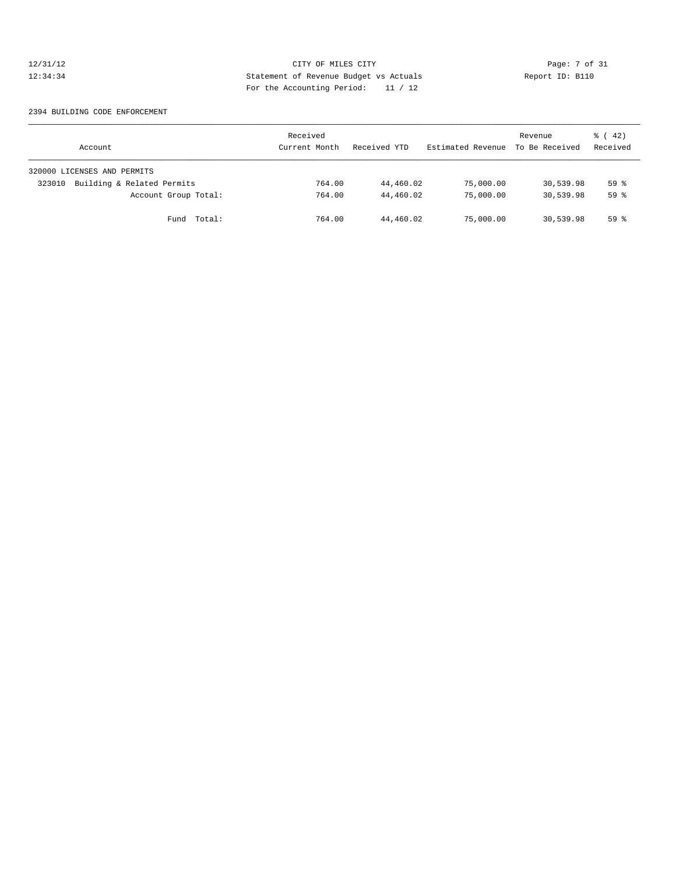# 12/31/12 CITY OF MILES CITY Page: 7 of 31<br>12:34:34 Statement of Revenue Budget vs Actuals Report ID: B110<br>12:34:34 Page: the Natural Page of Actuals 12:34:34 Statement of Revenue Budget vs Actuals Report ID: B110 For the Accounting Period: 11 / 12

### 2394 BUILDING CODE ENFORCEMENT

| Account                              | Received<br>Current Month | Received YTD | Estimated Revenue | Revenue<br>To Be Received | $\frac{1}{6}$ (42)<br>Received |
|--------------------------------------|---------------------------|--------------|-------------------|---------------------------|--------------------------------|
| 320000 LICENSES AND PERMITS          |                           |              |                   |                           |                                |
| Building & Related Permits<br>323010 | 764.00                    | 44,460.02    | 75,000.00         | 30,539.98                 | 59%                            |
| Account Group Total:                 | 764.00                    | 44,460.02    | 75,000.00         | 30,539.98                 | 59%                            |
| Fund Total:                          | 764.00                    | 44,460.02    | 75,000.00         | 30,539.98                 | 59 %                           |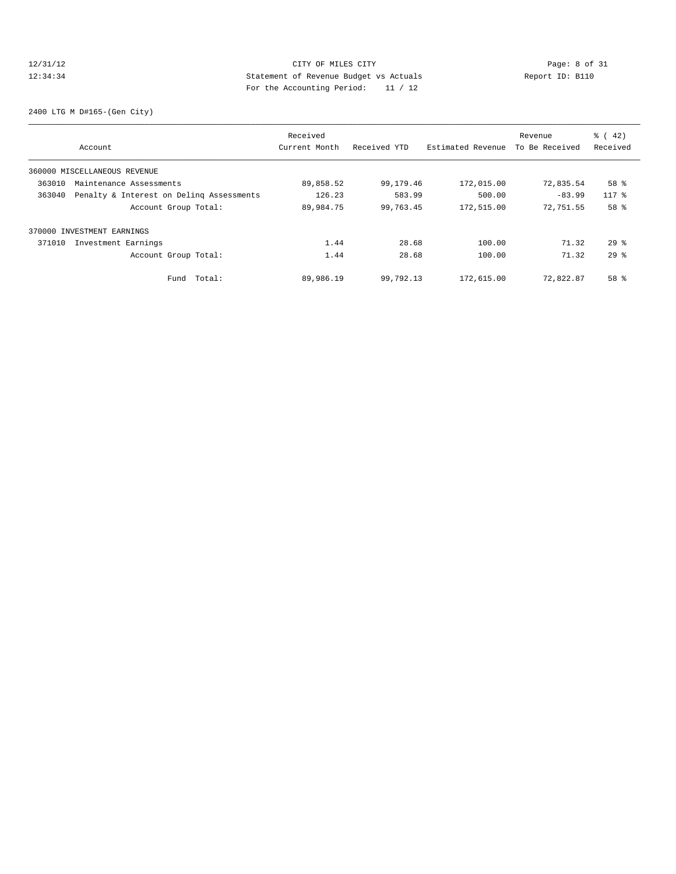# 12/31/12 CITY OF MILES CITY Page: 8 of 31<br>12:34:34 Statement of Revenue Budget vs Actuals Report ID: B110<br>12:34:34 Report ID: B110 12:34:34 Statement of Revenue Budget vs Actuals Report ID: B110 For the Accounting Period: 11 / 12

2400 LTG M D#165-(Gen City)

|        |                                          | Received      |              |                   | Revenue        | $\frac{1}{6}$ ( 42) |
|--------|------------------------------------------|---------------|--------------|-------------------|----------------|---------------------|
|        | Account                                  | Current Month | Received YTD | Estimated Revenue | To Be Received | Received            |
|        | 360000 MISCELLANEOUS REVENUE             |               |              |                   |                |                     |
| 363010 | Maintenance Assessments                  | 89,858.52     | 99,179.46    | 172,015.00        | 72,835.54      | 58 %                |
| 363040 | Penalty & Interest on Deling Assessments | 126.23        | 583.99       | 500.00            | $-83.99$       | $117$ %             |
|        | Account Group Total:                     | 89,984.75     | 99,763.45    | 172,515.00        | 72,751.55      | 58 %                |
|        | 370000 INVESTMENT EARNINGS               |               |              |                   |                |                     |
| 371010 | Investment Earnings                      | 1.44          | 28.68        | 100.00            | 71.32          | $29*$               |
|        | Account Group Total:                     | 1.44          | 28.68        | 100.00            | 71.32          | $29*$               |
|        | Total:<br>Fund                           | 89,986.19     | 99,792.13    | 172,615.00        | 72,822.87      | 58 %                |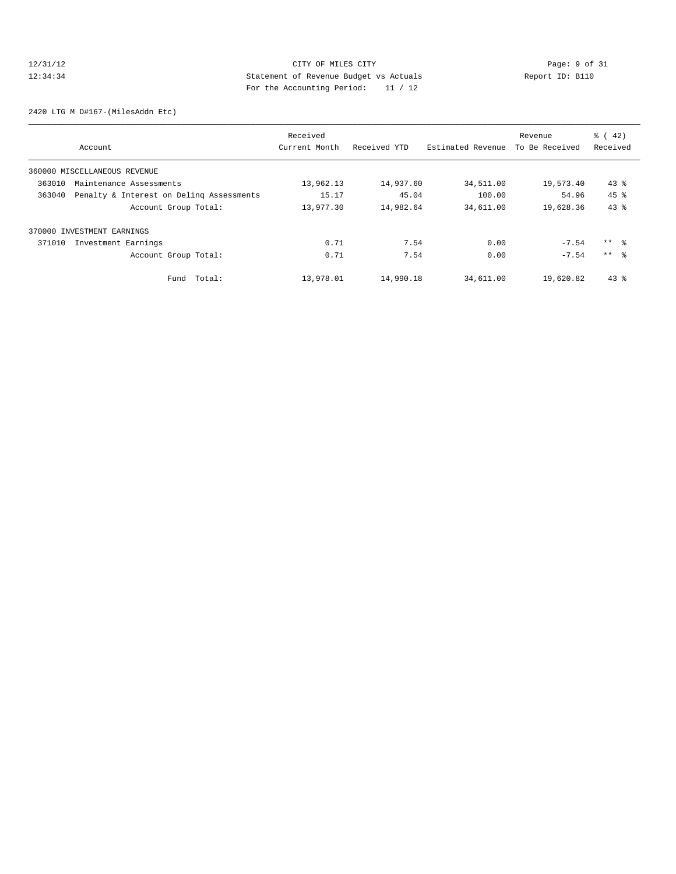# 12/31/12 CITY OF MILES CITY Page: 9 of 31<br>12:34:34 Statement of Revenue Budget vs Actuals Report ID: B110<br>12:34:34 Report ID: B110 12:34:34 Statement of Revenue Budget vs Actuals Report ID: B110 For the Accounting Period: 11 / 12

2420 LTG M D#167-(MilesAddn Etc)

|        |                                          | Received      |              |                   | Revenue        | $\frac{1}{6}$ ( 42) |
|--------|------------------------------------------|---------------|--------------|-------------------|----------------|---------------------|
|        | Account                                  | Current Month | Received YTD | Estimated Revenue | To Be Received | Received            |
|        | 360000 MISCELLANEOUS REVENUE             |               |              |                   |                |                     |
| 363010 | Maintenance Assessments                  | 13,962.13     | 14,937.60    | 34,511.00         | 19,573.40      | $43$ $%$            |
| 363040 | Penalty & Interest on Deling Assessments | 15.17         | 45.04        | 100.00            | 54.96          | 45%                 |
|        | Account Group Total:                     | 13,977.30     | 14,982.64    | 34,611.00         | 19,628.36      | 43.8                |
|        | 370000 INVESTMENT EARNINGS               |               |              |                   |                |                     |
| 371010 | Investment Earnings                      | 0.71          | 7.54         | 0.00              | $-7.54$        | $***$ $\approx$     |
|        | Account Group Total:                     | 0.71          | 7.54         | 0.00              | $-7.54$        | $***$ $\approx$     |
|        | Total:<br>Fund                           | 13,978.01     | 14,990.18    | 34,611.00         | 19,620.82      | $43$ %              |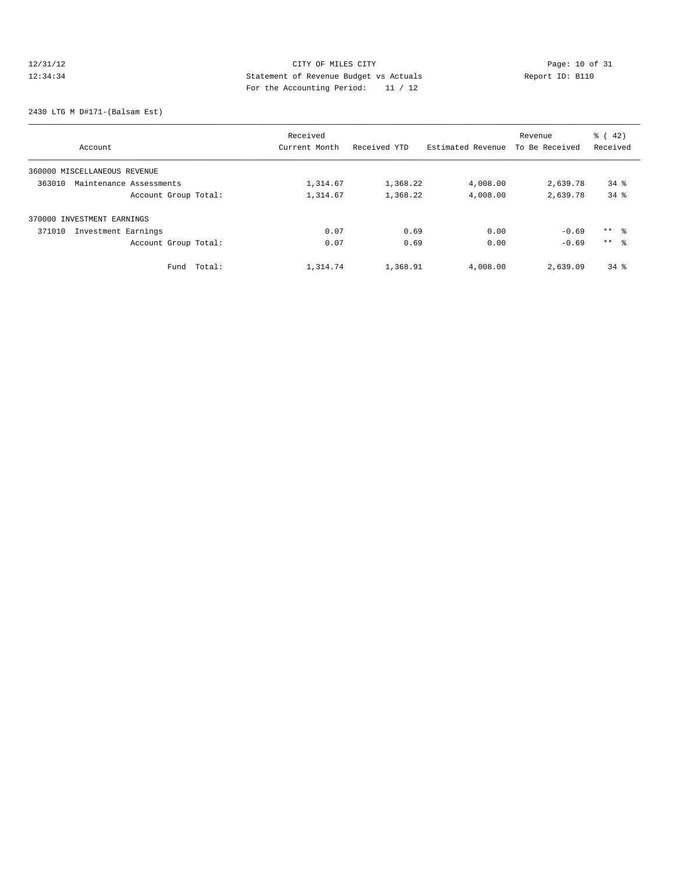# 12/31/12 Page: 10 of 31 12:34:34 Statement of Revenue Budget vs Actuals Report ID: B110<br>Report ID: B110 For the Accounting Period: 11 / 12

2430 LTG M D#171-(Balsam Est)

|                                   | Received      |              | Revenue           |                | $\frac{1}{6}$ ( 42) |  |
|-----------------------------------|---------------|--------------|-------------------|----------------|---------------------|--|
| Account                           | Current Month | Received YTD | Estimated Revenue | To Be Received | Received            |  |
| 360000 MISCELLANEOUS REVENUE      |               |              |                   |                |                     |  |
| 363010<br>Maintenance Assessments | 1,314.67      | 1,368.22     | 4,008.00          | 2,639.78       | $34$ $%$            |  |
| Account Group Total:              | 1,314.67      | 1,368.22     | 4,008.00          | 2,639.78       | $34$ $%$            |  |
| 370000 INVESTMENT EARNINGS        |               |              |                   |                |                     |  |
| Investment Earnings<br>371010     | 0.07          | 0.69         | 0.00              | $-0.69$        | $***$ 8             |  |
| Account Group Total:              | 0.07          | 0.69         | 0.00              | $-0.69$        | $***$ $\approx$     |  |
| Total:<br>Fund                    | 1,314.74      | 1,368.91     | 4,008.00          | 2,639.09       | $34*$               |  |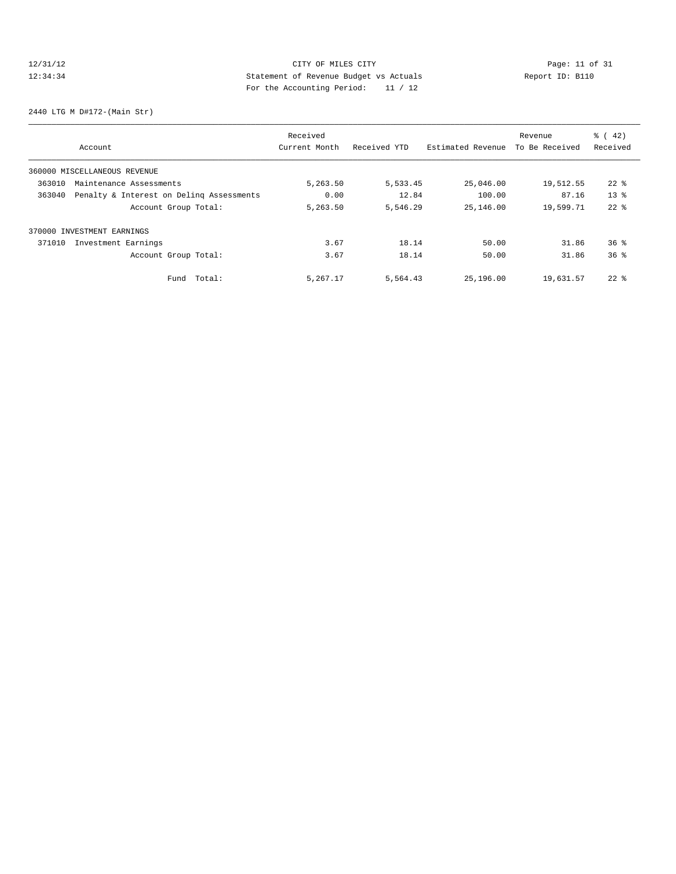# 12/31/12 Page: 11 of 31 12:34:34 Statement of Revenue Budget vs Actuals Report ID: B110<br>Report ID: B110 For the Accounting Period: 11 / 12

2440 LTG M D#172-(Main Str)

|        |                                          | Received      |              |                   | Revenue        | $\frac{1}{6}$ ( 42) |
|--------|------------------------------------------|---------------|--------------|-------------------|----------------|---------------------|
|        | Account                                  | Current Month | Received YTD | Estimated Revenue | To Be Received | Received            |
|        | 360000 MISCELLANEOUS REVENUE             |               |              |                   |                |                     |
| 363010 | Maintenance Assessments                  | 5,263.50      | 5,533.45     | 25,046.00         | 19,512.55      | $22$ $\frac{6}{5}$  |
| 363040 | Penalty & Interest on Deling Assessments | 0.00          | 12.84        | 100.00            | 87.16          | $13*$               |
|        | Account Group Total:                     | 5,263.50      | 5,546.29     | 25,146.00         | 19,599.71      | $22$ $%$            |
|        | 370000 INVESTMENT EARNINGS               |               |              |                   |                |                     |
| 371010 | Investment Earnings                      | 3.67          | 18.14        | 50.00             | 31.86          | $36*$               |
|        | Account Group Total:                     | 3.67          | 18.14        | 50.00             | 31.86          | 36 <sup>8</sup>     |
|        | Total:<br>Fund                           | 5,267.17      | 5,564.43     | 25,196.00         | 19,631.57      | $22$ $%$            |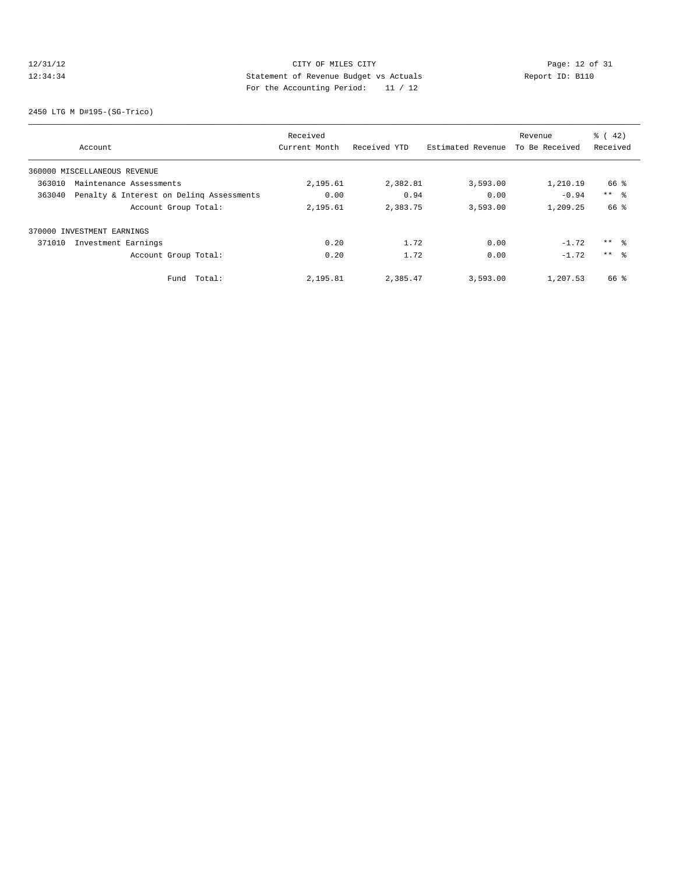# 12/31/12 CITY OF MILES CITY<br>12:34:34 2009:12 Of 31<br>12:34:34 2009:11 Accounting Boxies<sup>1</sup> 11/12 12:34:34 Statement of Revenue Budget vs Actuals Report ID: B110 For the Accounting Period: 11 / 12

2450 LTG M D#195-(SG-Trico)

|        |                                          | Received      |              |                   | Revenue        | $\frac{1}{6}$ ( 42) |
|--------|------------------------------------------|---------------|--------------|-------------------|----------------|---------------------|
|        | Account                                  | Current Month | Received YTD | Estimated Revenue | To Be Received | Received            |
|        | 360000 MISCELLANEOUS REVENUE             |               |              |                   |                |                     |
| 363010 | Maintenance Assessments                  | 2,195.61      | 2,382.81     | 3,593.00          | 1,210.19       | 66 %                |
| 363040 | Penalty & Interest on Deling Assessments | 0.00          | 0.94         | 0.00              | $-0.94$        | $***$ $ -$          |
|        | Account Group Total:                     | 2,195.61      | 2,383.75     | 3,593.00          | 1,209.25       | 66 %                |
| 370000 | INVESTMENT EARNINGS                      |               |              |                   |                |                     |
| 371010 | Investment Earnings                      | 0.20          | 1.72         | 0.00              | $-1.72$        | $***$ 8             |
|        | Account Group Total:                     | 0.20          | 1.72         | 0.00              | $-1.72$        | $***$ 8             |
|        | Fund Total:                              | 2,195.81      | 2,385.47     | 3,593.00          | 1,207.53       | 66 %                |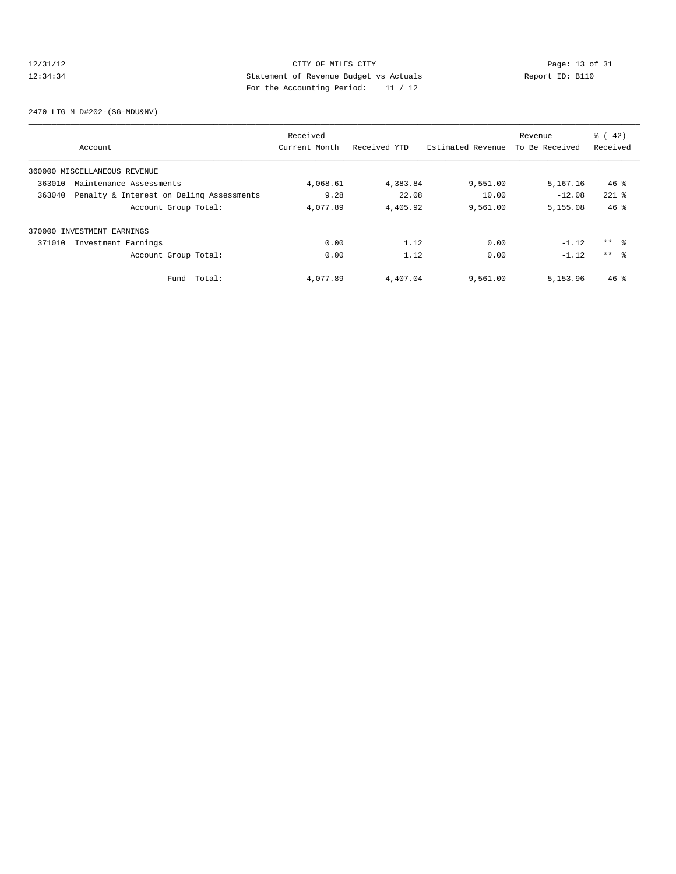# 12/31/12 CITY OF MILES CITY<br>12:34:34 Page: 13 of 31<br>12:34:34 Statement of Revenue Budget vs Actuals<br>12:34:34 Report ID: B110 12:34:34 Statement of Revenue Budget vs Actuals Report ID: B110 For the Accounting Period: 11 / 12

2470 LTG M D#202-(SG-MDU&NV)

|        |                                          | Received      |              |                   | Revenue        | $\frac{1}{6}$ ( 42) |
|--------|------------------------------------------|---------------|--------------|-------------------|----------------|---------------------|
|        | Account                                  | Current Month | Received YTD | Estimated Revenue | To Be Received | Received            |
|        | 360000 MISCELLANEOUS REVENUE             |               |              |                   |                |                     |
| 363010 | Maintenance Assessments                  | 4,068.61      | 4,383.84     | 9,551.00          | 5,167.16       | $46*$               |
| 363040 | Penalty & Interest on Deling Assessments | 9.28          | 22.08        | 10.00             | $-12.08$       | $221$ %             |
|        | Account Group Total:                     | 4,077.89      | 4,405.92     | 9,561.00          | 5,155.08       | $46*$               |
|        | 370000 INVESTMENT EARNINGS               |               |              |                   |                |                     |
| 371010 | Investment Earnings                      | 0.00          | 1.12         | 0.00              | $-1.12$        | $***$ 8             |
|        | Account Group Total:                     | 0.00          | 1.12         | 0.00              | $-1.12$        | $***$ $\approx$     |
|        | Fund Total:                              | 4,077.89      | 4,407.04     | 9,561.00          | 5,153.96       | $46*$               |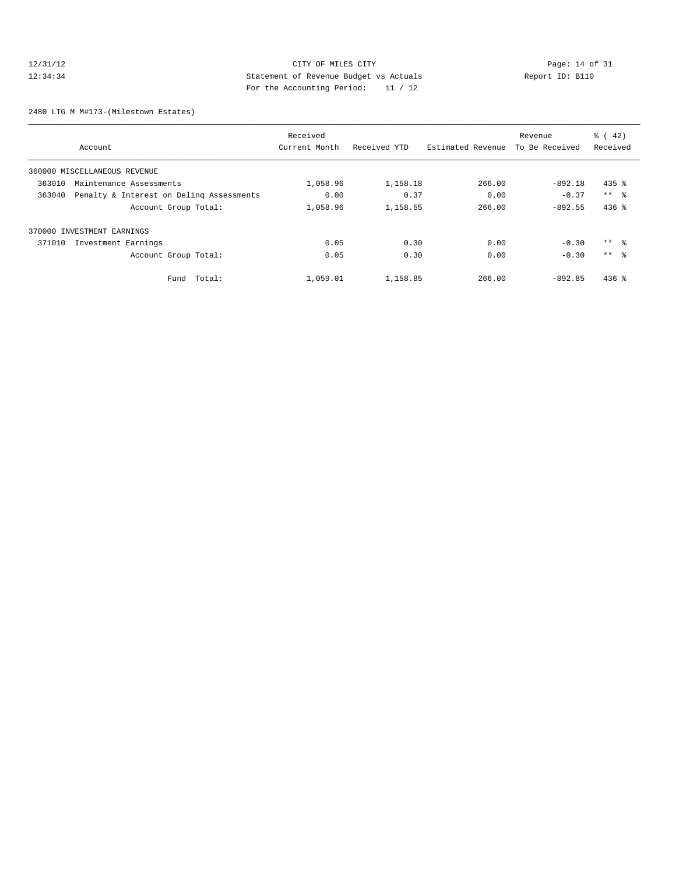# 12/31/12 CITY OF MILES CITY<br>12:34:34 Page: 14 of 31<br>12:34:34 Statement of Revenue Budget vs Actuals<br>For the Accounting Dominal: 11/12 12:34:34 Statement of Revenue Budget vs Actuals Report ID: B110 For the Accounting Period: 11 / 12

2480 LTG M M#173-(Milestown Estates)

|        |                                          | Received      |              |                   | Revenue        | $\frac{1}{6}$ ( 42) |  |
|--------|------------------------------------------|---------------|--------------|-------------------|----------------|---------------------|--|
|        | Account                                  | Current Month | Received YTD | Estimated Revenue | To Be Received | Received            |  |
|        | 360000 MISCELLANEOUS REVENUE             |               |              |                   |                |                     |  |
| 363010 | Maintenance Assessments                  | 1,058.96      | 1,158.18     | 266.00            | $-892.18$      | $435$ $%$           |  |
| 363040 | Penalty & Interest on Deling Assessments | 0.00          | 0.37         | 0.00              | $-0.37$        | $***$ %             |  |
|        | Account Group Total:                     | 1,058.96      | 1,158.55     | 266.00            | $-892.55$      | $436$ %             |  |
|        | 370000 INVESTMENT EARNINGS               |               |              |                   |                |                     |  |
| 371010 | Investment Earnings                      | 0.05          | 0.30         | 0.00              | $-0.30$        | ** %                |  |
|        | Account Group Total:                     | 0.05          | 0.30         | 0.00              | $-0.30$        | $***$ %             |  |
|        | Fund Total:                              | 1,059.01      | 1,158.85     | 266.00            | $-892.85$      | $436$ %             |  |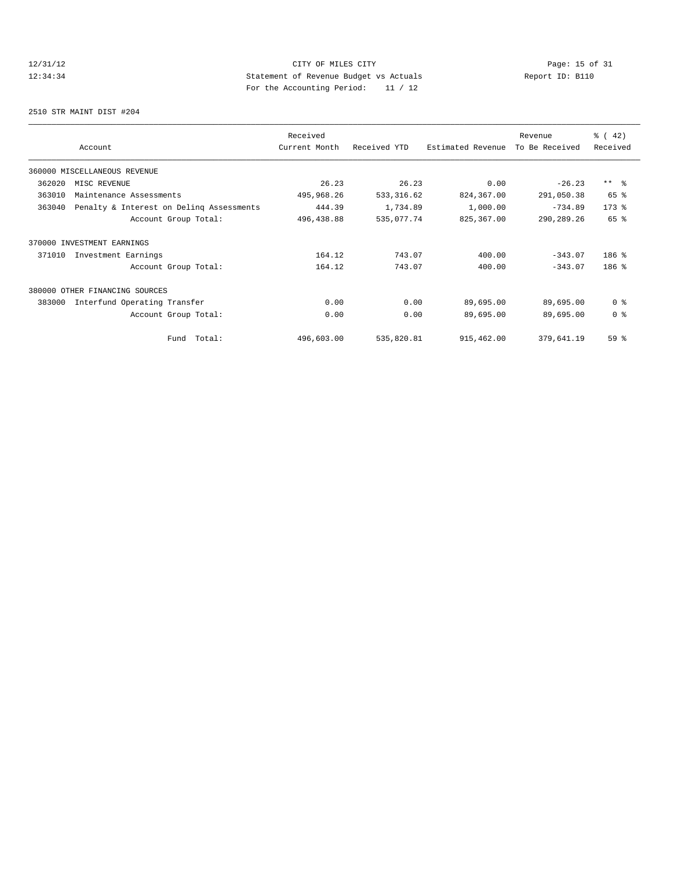# 12/31/12 Page: 15 of 31 12:34:34 Statement of Revenue Budget vs Actuals Report ID: B110 For the Accounting Period: 11 / 12

2510 STR MAINT DIST #204

|        | Account                                  | Received<br>Current Month | Received YTD | Estimated Revenue | Revenue<br>To Be Received | % (42)<br>Received |
|--------|------------------------------------------|---------------------------|--------------|-------------------|---------------------------|--------------------|
|        | 360000 MISCELLANEOUS REVENUE             |                           |              |                   |                           |                    |
| 362020 | MISC REVENUE                             | 26.23                     | 26.23        | 0.00              | $-26.23$                  | $***$ 8            |
| 363010 | Maintenance Assessments                  | 495,968.26                | 533, 316.62  | 824,367.00        | 291,050.38                | 65 %               |
| 363040 | Penalty & Interest on Deling Assessments | 444.39                    | 1,734.89     | 1,000.00          | $-734.89$                 | $173$ %            |
|        | Account Group Total:                     | 496, 438.88               | 535,077.74   | 825,367.00        | 290,289.26                | 65 %               |
|        | 370000 INVESTMENT EARNINGS               |                           |              |                   |                           |                    |
| 371010 | Investment Earnings                      | 164.12                    | 743.07       | 400.00            | $-343.07$                 | $186$ %            |
|        | Account Group Total:                     | 164.12                    | 743.07       | 400.00            | $-343.07$                 | $186$ %            |
|        | 380000 OTHER FINANCING SOURCES           |                           |              |                   |                           |                    |
| 383000 | Interfund Operating Transfer             | 0.00                      | 0.00         | 89,695.00         | 89,695.00                 | 0 <sup>8</sup>     |
|        | Account Group Total:                     | 0.00                      | 0.00         | 89,695.00         | 89,695.00                 | 0 <sup>8</sup>     |
|        | Fund Total:                              | 496,603.00                | 535,820.81   | 915,462.00        | 379,641.19                | 59 <sub>8</sub>    |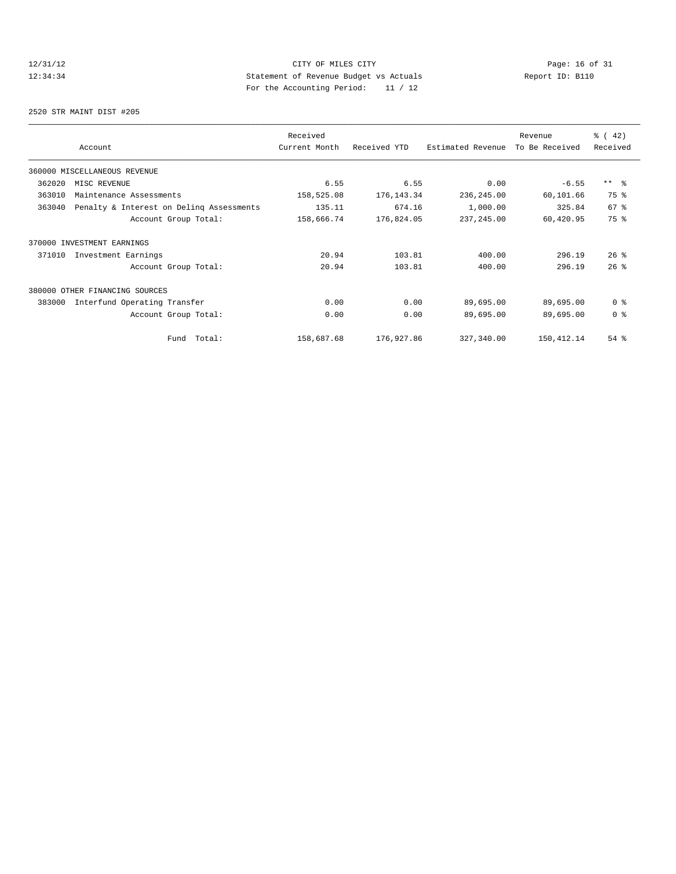# 12/31/12 Page: 16 of 31 12:34:34 Statement of Revenue Budget vs Actuals Report ID: B110<br>Report ID: B110 For the Accounting Period: 11 / 12

2520 STR MAINT DIST #205

| Account |                                          | Received      |              |                   | Revenue<br>To Be Received | % (42)          |
|---------|------------------------------------------|---------------|--------------|-------------------|---------------------------|-----------------|
|         |                                          | Current Month | Received YTD | Estimated Revenue |                           | Received        |
|         | 360000 MISCELLANEOUS REVENUE             |               |              |                   |                           |                 |
| 362020  | MISC REVENUE                             | 6.55          | 6.55         | 0.00              | $-6.55$                   | $***$ 8         |
| 363010  | Maintenance Assessments                  | 158,525.08    | 176, 143.34  | 236,245.00        | 60,101.66                 | 75 %            |
| 363040  | Penalty & Interest on Deling Assessments | 135.11        | 674.16       | 1,000.00          | 325.84                    | 67 <sup>°</sup> |
|         | Account Group Total:                     | 158,666.74    | 176,824.05   | 237, 245.00       | 60,420.95                 | 75 %            |
|         | 370000 INVESTMENT EARNINGS               |               |              |                   |                           |                 |
| 371010  | Investment Earnings                      | 20.94         | 103.81       | 400.00            | 296.19                    | $26$ %          |
|         | Account Group Total:                     | 20.94         | 103.81       | 400.00            | 296.19                    | 26%             |
|         | 380000 OTHER FINANCING SOURCES           |               |              |                   |                           |                 |
| 383000  | Interfund Operating Transfer             | 0.00          | 0.00         | 89,695.00         | 89,695.00                 | 0 <sup>8</sup>  |
|         | Account Group Total:                     | 0.00          | 0.00         | 89,695.00         | 89,695.00                 | 0 <sup>8</sup>  |
|         | Fund Total:                              | 158,687.68    | 176,927.86   | 327,340.00        | 150,412.14                | 54%             |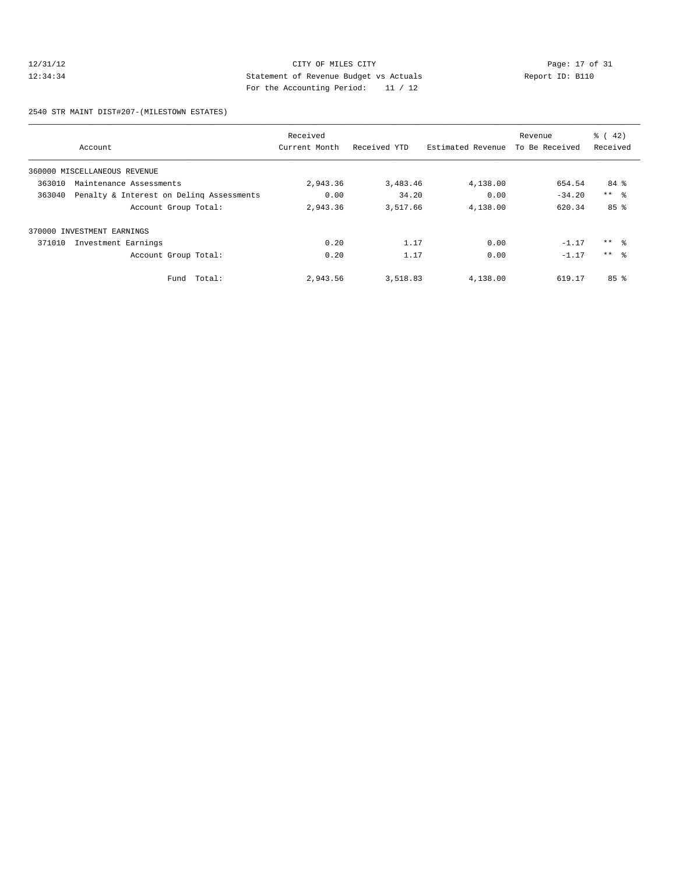# 12/31/12 CITY OF MILES CITY<br>12:34:34 Page: 17 of 31<br>12:34:34 Statement of Revenue Budget vs Actuals<br>11/12<br>12/12<br>12/12 12:34:34 Statement of Revenue Budget vs Actuals Report ID: B110 For the Accounting Period: 11 / 12

2540 STR MAINT DIST#207-(MILESTOWN ESTATES)

|        |                                          | Received      |              |                   | Revenue        | $\frac{1}{6}$ ( 42) |
|--------|------------------------------------------|---------------|--------------|-------------------|----------------|---------------------|
|        | Account                                  | Current Month | Received YTD | Estimated Revenue | To Be Received | Received            |
|        | 360000 MISCELLANEOUS REVENUE             |               |              |                   |                |                     |
| 363010 | Maintenance Assessments                  | 2,943.36      | 3,483.46     | 4,138.00          | 654.54         | 84 %                |
| 363040 | Penalty & Interest on Deling Assessments | 0.00          | 34.20        | 0.00              | $-34.20$       | $***$ $ -$          |
|        | Account Group Total:                     | 2,943.36      | 3,517.66     | 4,138.00          | 620.34         | 85 <sup>8</sup>     |
| 370000 | INVESTMENT EARNINGS                      |               |              |                   |                |                     |
| 371010 | Investment Earnings                      | 0.20          | 1.17         | 0.00              | $-1.17$        | $***$ 8             |
|        | Account Group Total:                     | 0.20          | 1.17         | 0.00              | $-1.17$        | $***$ $\approx$     |
|        | Fund Total:                              | 2,943.56      | 3,518.83     | 4,138.00          | 619.17         | 85 <sup>8</sup>     |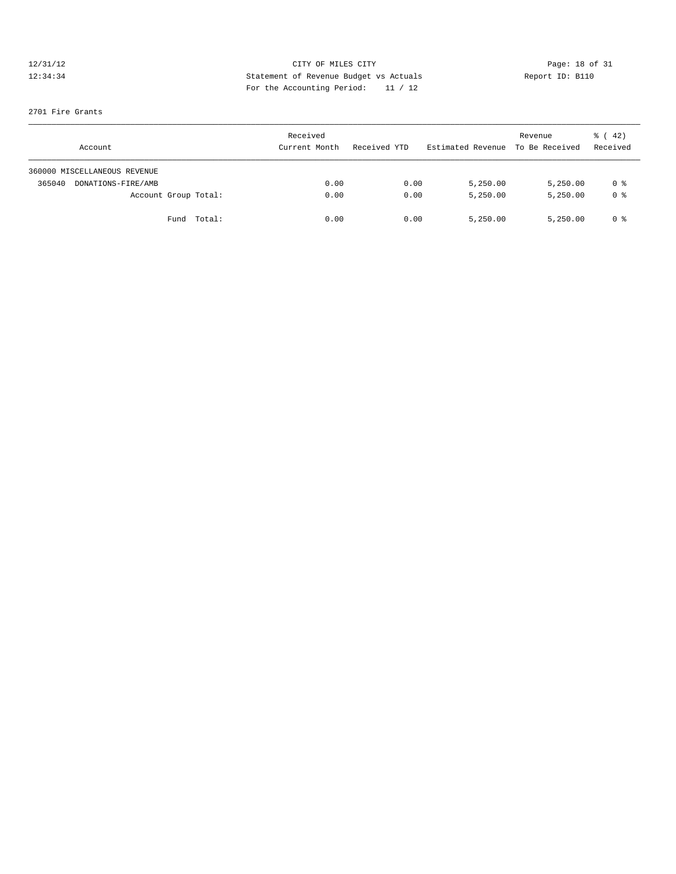# 12/31/12 CITY OF MILES CITY<br>12:34:34 Page: 18 of 31<br>12:34:34 Statement of Revenue Budget vs Actuals<br>For the Accounting Dominal: 11/12 12:34:34 Statement of Revenue Budget vs Actuals Report ID: B110 For the Accounting Period: 11 / 12

### 2701 Fire Grants

| Account                      | Received<br>Current Month | Received YTD | Estimated Revenue To Be Received | Revenue  | $\frac{1}{6}$ (42)<br>Received |
|------------------------------|---------------------------|--------------|----------------------------------|----------|--------------------------------|
| 360000 MISCELLANEOUS REVENUE |                           |              |                                  |          |                                |
| 365040<br>DONATIONS-FIRE/AMB | 0.00                      | 0.00         | 5,250.00                         | 5,250.00 | 0 %                            |
| Account Group Total:         | 0.00                      | 0.00         | 5,250.00                         | 5,250.00 | 0 <sup>8</sup>                 |
| Fund Total:                  | 0.00                      | 0.00         | 5,250.00                         | 5,250.00 | 0 %                            |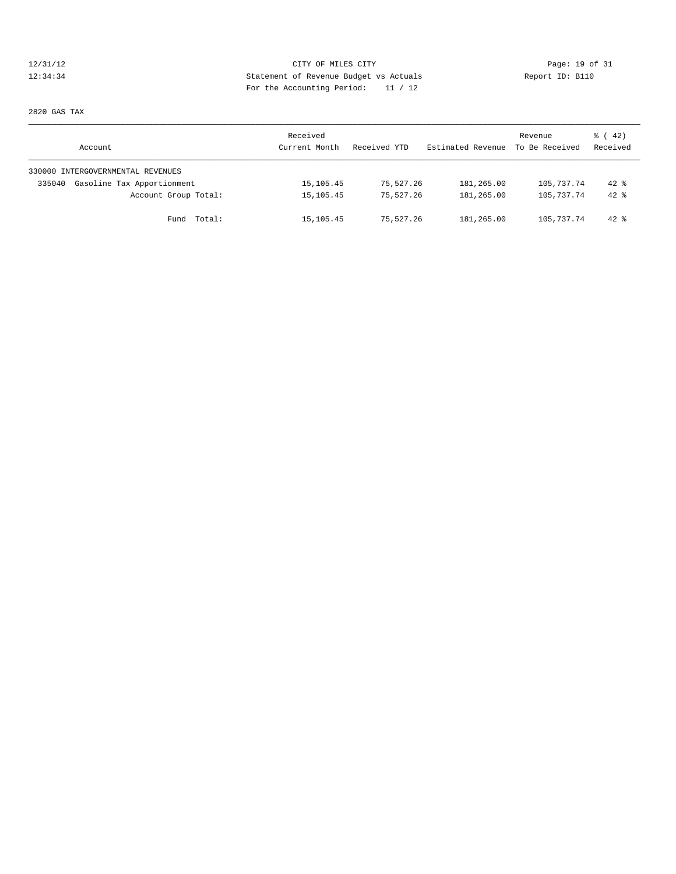# 12/31/12 Page: 19 of 31 12:34:34 Statement of Revenue Budget vs Actuals Report ID: B110<br>Report ID: B110 For the Accounting Period: 11 / 12

2820 GAS TAX

| Account                              | Received<br>Current Month | Received YTD | Estimated Revenue | Revenue<br>To Be Received | $\frac{1}{6}$ (42)<br>Received |
|--------------------------------------|---------------------------|--------------|-------------------|---------------------------|--------------------------------|
| 330000 INTERGOVERNMENTAL REVENUES    |                           |              |                   |                           |                                |
| Gasoline Tax Apportionment<br>335040 | 15, 105.45                | 75,527.26    | 181,265.00        | 105,737.74                | $42$ %                         |
| Account Group Total:                 | 15, 105.45                | 75,527.26    | 181,265.00        | 105,737.74                | $42*$                          |
| Fund Total:                          | 15,105.45                 | 75,527.26    | 181,265.00        | 105,737.74                | $42*$                          |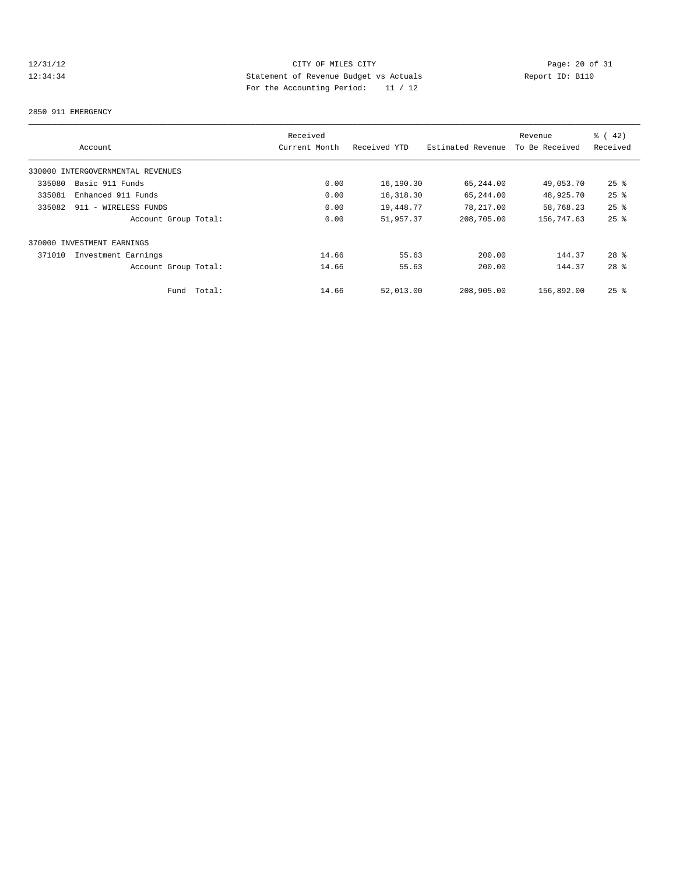# 12/31/12 CITY OF MILES CITY<br>12:34:34 Page: 20 of 31<br>12:34:34 Statement of Revenue Budget vs Actuals<br>12:34:34 Report ID: B110 12:34:34 Statement of Revenue Budget vs Actuals Report ID: B110 For the Accounting Period: 11 / 12

### 2850 911 EMERGENCY

|        |                                   |        | Received      |              |                   | Revenue        | $\frac{1}{6}$ (42) |
|--------|-----------------------------------|--------|---------------|--------------|-------------------|----------------|--------------------|
|        | Account                           |        | Current Month | Received YTD | Estimated Revenue | To Be Received | Received           |
|        | 330000 INTERGOVERNMENTAL REVENUES |        |               |              |                   |                |                    |
| 335080 | Basic 911 Funds                   |        | 0.00          | 16,190.30    | 65,244.00         | 49,053.70      | $25$ $\frac{6}{5}$ |
| 335081 | Enhanced 911 Funds                |        | 0.00          | 16,318.30    | 65,244.00         | 48,925.70      | $25$ %             |
| 335082 | 911 - WIRELESS FUNDS              |        | 0.00          | 19,448.77    | 78,217.00         | 58,768.23      | $25$ $%$           |
|        | Account Group Total:              |        | 0.00          | 51,957.37    | 208,705.00        | 156,747.63     | $25$ $%$           |
|        | 370000 INVESTMENT EARNINGS        |        |               |              |                   |                |                    |
| 371010 | Investment Earnings               |        | 14.66         | 55.63        | 200.00            | 144.37         | $28$ $%$           |
|        | Account Group Total:              |        | 14.66         | 55.63        | 200.00            | 144.37         | $28$ $%$           |
|        | Fund                              | Total: | 14.66         | 52,013.00    | 208,905.00        | 156,892.00     | $25$ $%$           |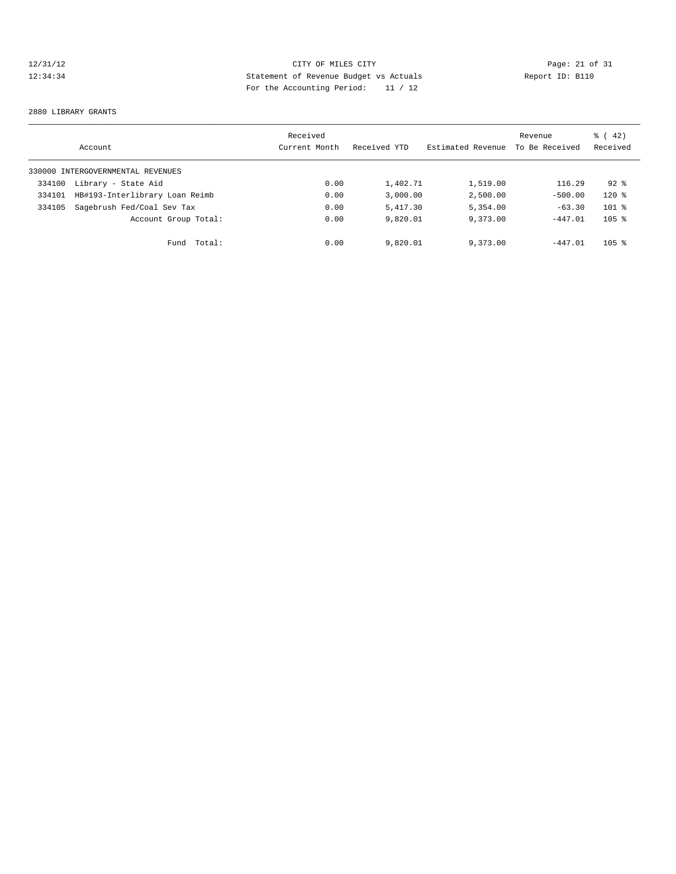# 12/31/12 Page: 21 of 31 12:34:34 Statement of Revenue Budget vs Actuals Report ID: B110<br>Report ID: B110 For the Accounting Period: 11 / 12

#### 2880 LIBRARY GRANTS

|        | Account                           | Received<br>Current Month | Received YTD | Estimated Revenue | Revenue<br>To Be Received | $\frac{1}{6}$ ( 42)<br>Received |
|--------|-----------------------------------|---------------------------|--------------|-------------------|---------------------------|---------------------------------|
|        | 330000 INTERGOVERNMENTAL REVENUES |                           |              |                   |                           |                                 |
| 334100 | Library - State Aid               | 0.00                      | 1,402.71     | 1,519.00          | 116.29                    | $92*$                           |
| 334101 | HB#193-Interlibrary Loan Reimb    | 0.00                      | 3.000.00     | 2,500.00          | $-500.00$                 | $120*$                          |
| 334105 | Sagebrush Fed/Coal Sev Tax        | 0.00                      | 5,417.30     | 5,354.00          | $-63.30$                  | $101$ %                         |
|        | Account Group Total:              | 0.00                      | 9,820.01     | 9,373.00          | $-447.01$                 | $105$ %                         |
|        | Total:<br>Fund                    | 0.00                      | 9,820.01     | 9,373.00          | $-447.01$                 | $105$ %                         |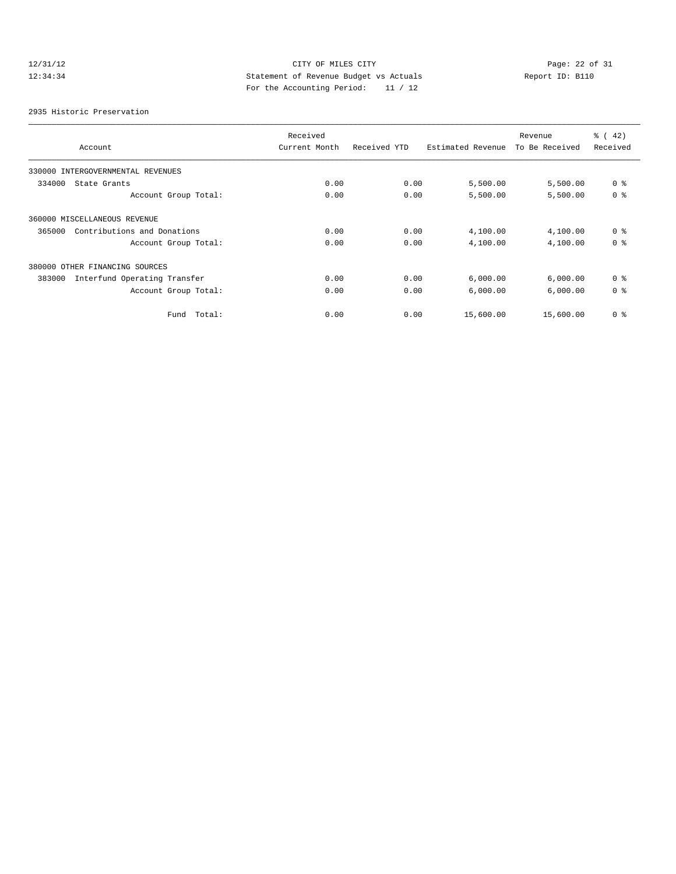# 12/31/12 CITY OF MILES CITY<br>12:34:34 Page: 22 of 31<br>12:34:34 Statement of Revenue Budget vs Actuals<br>For the Accounting Dominal: 11/12 12:34:34 Statement of Revenue Budget vs Actuals Report ID: B110 For the Accounting Period: 11 / 12

2935 Historic Preservation

|                                        | Received      |              |                   | Revenue        | $\frac{1}{6}$ (42) |
|----------------------------------------|---------------|--------------|-------------------|----------------|--------------------|
| Account                                | Current Month | Received YTD | Estimated Revenue | To Be Received | Received           |
| 330000<br>INTERGOVERNMENTAL REVENUES   |               |              |                   |                |                    |
| 334000<br>State Grants                 | 0.00          | 0.00         | 5,500.00          | 5,500.00       | 0 <sup>8</sup>     |
| Account Group Total:                   | 0.00          | 0.00         | 5,500.00          | 5,500.00       | 0 <sup>8</sup>     |
| 360000 MISCELLANEOUS REVENUE           |               |              |                   |                |                    |
| Contributions and Donations<br>365000  | 0.00          | 0.00         | 4,100.00          | 4,100.00       | 0 <sup>8</sup>     |
| Account Group Total:                   | 0.00          | 0.00         | 4,100.00          | 4,100.00       | 0 <sup>8</sup>     |
| 380000 OTHER FINANCING SOURCES         |               |              |                   |                |                    |
| Interfund Operating Transfer<br>383000 | 0.00          | 0.00         | 6,000.00          | 6,000.00       | 0 <sup>8</sup>     |
| Account Group Total:                   | 0.00          | 0.00         | 6,000.00          | 6,000.00       | 0 <sup>8</sup>     |
| Fund Total:                            | 0.00          | 0.00         | 15,600.00         | 15,600.00      | 0 <sup>8</sup>     |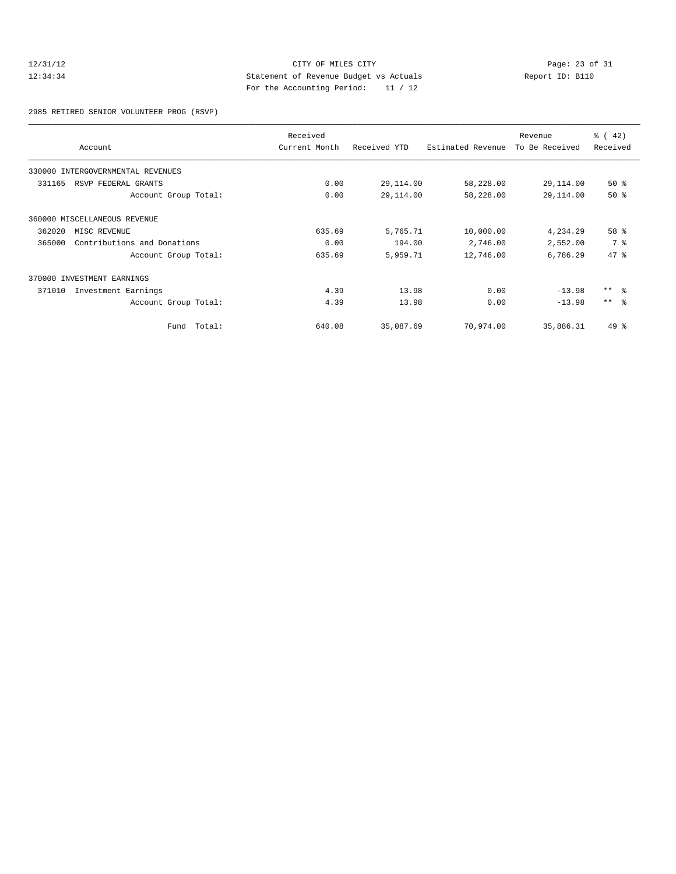# 12/31/12 CITY OF MILES CITY<br>12:34:34 Page: 23 of 31<br>12:34:34 Statement of Revenue Budget vs Actuals<br>12:34:34 Report ID: B110 12:34:34 Statement of Revenue Budget vs Actuals Report ID: B110 For the Accounting Period: 11 / 12

2985 RETIRED SENIOR VOLUNTEER PROG (RSVP)

|        | Account                           | Received<br>Current Month | Received YTD | Estimated Revenue | Revenue<br>To Be Received | $\frac{1}{6}$ (42)<br>Received |
|--------|-----------------------------------|---------------------------|--------------|-------------------|---------------------------|--------------------------------|
|        |                                   |                           |              |                   |                           |                                |
|        | 330000 INTERGOVERNMENTAL REVENUES |                           |              |                   |                           |                                |
| 331165 | RSVP FEDERAL GRANTS               | 0.00                      | 29,114.00    | 58,228.00         | 29,114.00                 | $50*$                          |
|        | Account Group Total:              | 0.00                      | 29,114.00    | 58,228.00         | 29,114.00                 | 50%                            |
|        | 360000 MISCELLANEOUS REVENUE      |                           |              |                   |                           |                                |
| 362020 | MISC REVENUE                      | 635.69                    | 5,765.71     | 10,000.00         | 4,234.29                  | $58*$                          |
| 365000 | Contributions and Donations       | 0.00                      | 194.00       | 2,746.00          | 2,552.00                  | 7 %                            |
|        | Account Group Total:              | 635.69                    | 5,959.71     | 12,746.00         | 6,786.29                  | 47.8                           |
|        | 370000 INVESTMENT EARNINGS        |                           |              |                   |                           |                                |
| 371010 | Investment Earnings               | 4.39                      | 13.98        | 0.00              | $-13.98$                  | $***$ $ -$                     |
|        | Account Group Total:              | 4.39                      | 13.98        | 0.00              | $-13.98$                  | $***$ $ -$                     |
|        | Fund Total:                       | 640.08                    | 35,087.69    | 70,974.00         | 35,886.31                 | $49*$                          |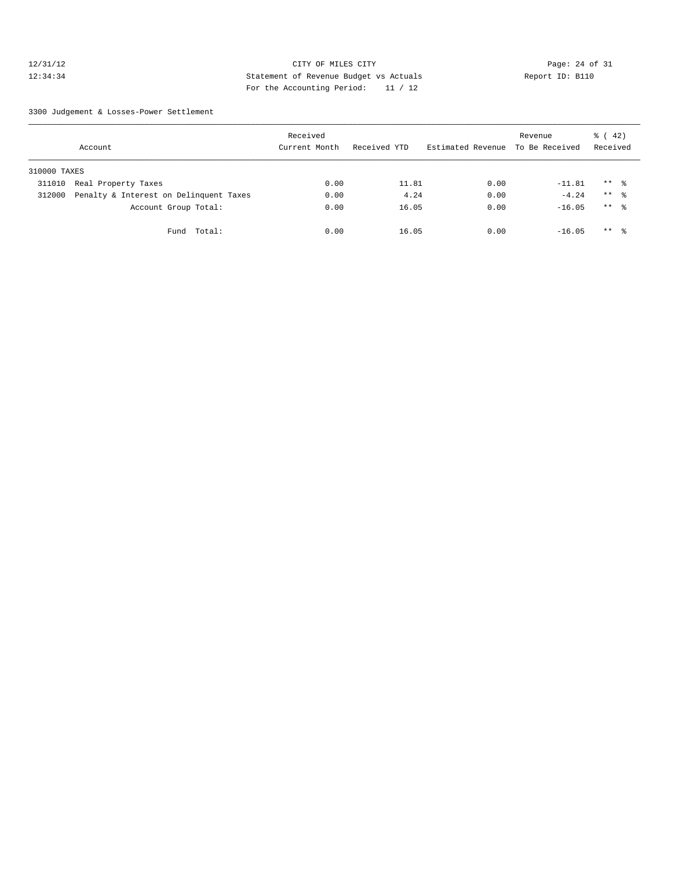# 12/31/12 Page: 24 of 31 12:34:34 Statement of Revenue Budget vs Actuals Report ID: B110 For the Accounting Period: 11 / 12

3300 Judgement & Losses-Power Settlement

|              | Account                                | Received<br>Current Month | Received YTD | Estimated Revenue To Be Received | Revenue  | $\frac{1}{6}$ ( 42)<br>Received |  |
|--------------|----------------------------------------|---------------------------|--------------|----------------------------------|----------|---------------------------------|--|
| 310000 TAXES |                                        |                           |              |                                  |          |                                 |  |
| 311010       | Real Property Taxes                    | 0.00                      | 11.81        | 0.00                             | $-11.81$ | $***$ %                         |  |
| 312000       | Penalty & Interest on Delinquent Taxes | 0.00                      | 4.24         | 0.00                             | $-4.24$  | $***$ %                         |  |
|              | Account Group Total:                   | 0.00                      | 16.05        | 0.00                             | $-16.05$ | $***$ $\approx$                 |  |
|              | Fund Total:                            | 0.00                      | 16.05        | 0.00                             | $-16.05$ | $***$ %                         |  |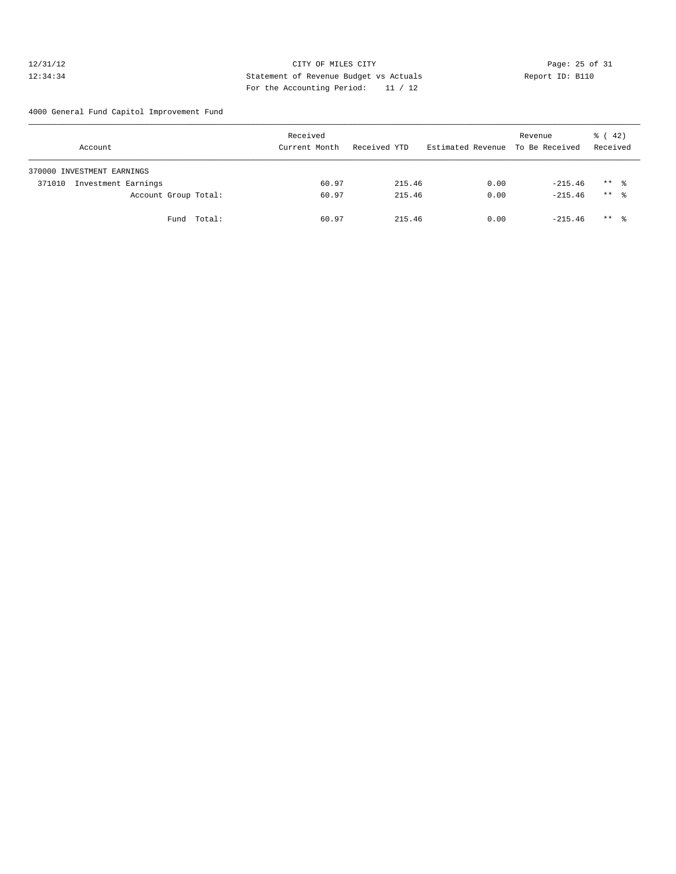# 12/31/12 Page: 25 of 31 12:34:34 Statement of Revenue Budget vs Actuals Report ID: B110 For the Accounting Period: 11 / 12

4000 General Fund Capitol Improvement Fund

| Account                       | Received<br>Current Month | Received YTD | Estimated Revenue To Be Received | Revenue   | $\frac{1}{6}$ (42)<br>Received |
|-------------------------------|---------------------------|--------------|----------------------------------|-----------|--------------------------------|
| 370000 INVESTMENT EARNINGS    |                           |              |                                  |           |                                |
| Investment Earnings<br>371010 | 60.97                     | 215.46       | 0.00                             | $-215.46$ | $***$ $\frac{6}{3}$            |
| Account Group Total:          | 60.97                     | 215.46       | 0.00                             | $-215.46$ | $***$ 8                        |
| Fund Total:                   | 60.97                     | 215.46       | 0.00                             | $-215.46$ | $***$ $\frac{6}{3}$            |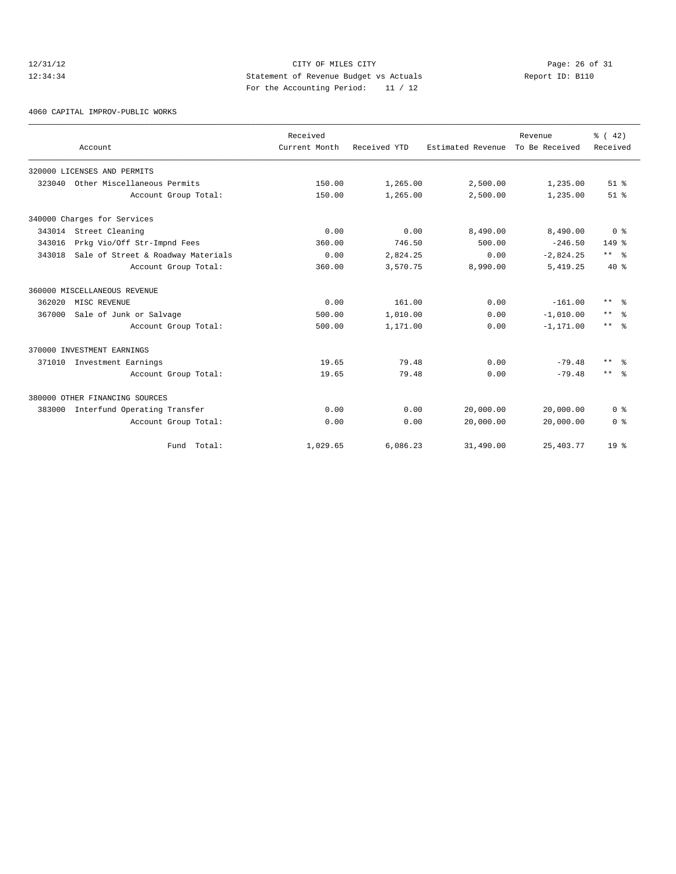# 12/31/12 Page: 26 of 31 12:34:34 Statement of Revenue Budget vs Actuals Report ID: B110 For the Accounting Period: 11 / 12

4060 CAPITAL IMPROV-PUBLIC WORKS

|        | Account                            | Received<br>Current Month | Received YTD         | Estimated Revenue | Revenue<br>To Be Received | % (42)<br>Received   |
|--------|------------------------------------|---------------------------|----------------------|-------------------|---------------------------|----------------------|
|        | 320000 LICENSES AND PERMITS        |                           |                      |                   |                           |                      |
| 323040 | Other Miscellaneous Permits        | 150.00                    |                      | 2,500.00          |                           | $51$ $%$             |
|        | Account Group Total:               | 150.00                    | 1,265.00<br>1,265.00 | 2,500.00          | 1,235.00<br>1,235.00      | $51$ $%$             |
|        |                                    |                           |                      |                   |                           |                      |
|        | 340000 Charges for Services        |                           |                      |                   |                           |                      |
|        | 343014 Street Cleaning             | 0.00                      | 0.00                 | 8,490.00          | 8,490.00                  | 0 <sup>8</sup>       |
| 343016 | Prkg Vio/Off Str-Impnd Fees        | 360.00                    | 746.50               | 500.00            | $-246.50$                 | $149*$               |
| 343018 | Sale of Street & Roadway Materials | 0.00                      | 2,824.25             | 0.00              | $-2,824.25$               | $***$ $ \frac{6}{9}$ |
|        | Account Group Total:               | 360.00                    | 3,570.75             | 8,990.00          | 5,419.25                  | $40*$                |
|        | 360000 MISCELLANEOUS REVENUE       |                           |                      |                   |                           |                      |
| 362020 | MISC REVENUE                       | 0.00                      | 161.00               | 0.00              | $-161.00$                 | $***$<br>ം ക         |
| 367000 | Sale of Junk or Salvage            | 500.00                    | 1,010.00             | 0.00              | $-1,010.00$               | $\star\star$<br>ം ക  |
|        | Account Group Total:               | 500.00                    | 1,171.00             | 0.00              | $-1, 171.00$              | $***$ $\frac{6}{6}$  |
|        | 370000 INVESTMENT EARNINGS         |                           |                      |                   |                           |                      |
| 371010 | Investment Earnings                | 19.65                     | 79.48                | 0.00              | $-79.48$                  | $***$<br>- 옹         |
|        | Account Group Total:               | 19.65                     | 79.48                | 0.00              | $-79.48$                  | $***$ $\approx$      |
|        | 380000 OTHER FINANCING SOURCES     |                           |                      |                   |                           |                      |
| 383000 | Interfund Operating Transfer       | 0.00                      | 0.00                 | 20,000.00         | 20,000.00                 | 0 <sup>8</sup>       |
|        | Account Group Total:               | 0.00                      | 0.00                 | 20,000.00         | 20,000.00                 | 0 <sup>8</sup>       |
|        | Fund Total:                        | 1,029.65                  | 6,086.23             | 31,490.00         | 25,403.77                 | 19 <sup>8</sup>      |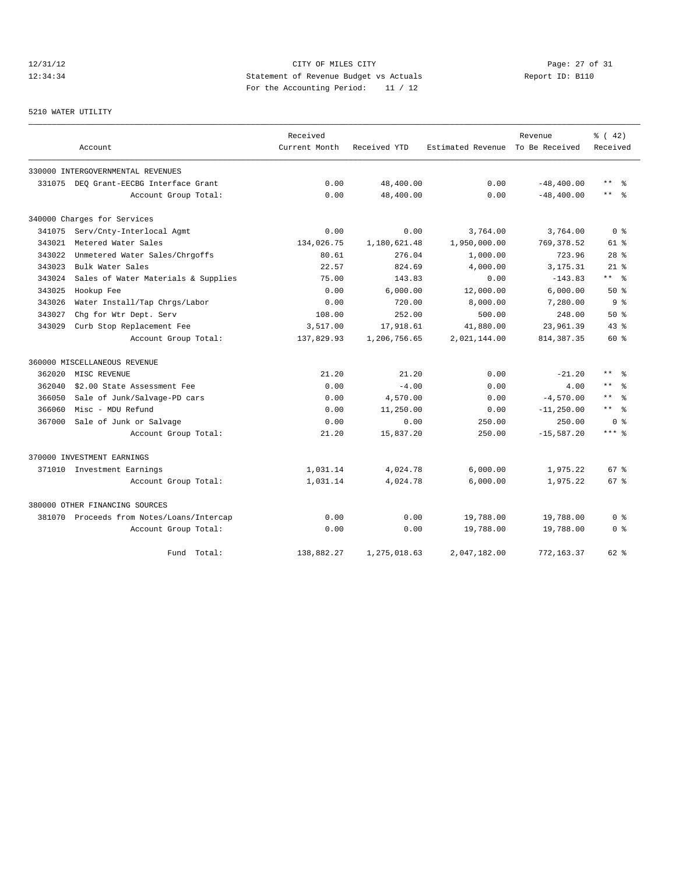# 12/31/12 Page: 27 of 31 12:34:34 Statement of Revenue Budget vs Actuals Report ID: B110 For the Accounting Period: 11 / 12

## 5210 WATER UTILITY

|        |                                           | Received      |              |                                  | Revenue       | % (42)                |
|--------|-------------------------------------------|---------------|--------------|----------------------------------|---------------|-----------------------|
|        | Account                                   | Current Month | Received YTD | Estimated Revenue To Be Received |               | Received              |
|        | 330000 INTERGOVERNMENTAL REVENUES         |               |              |                                  |               |                       |
| 331075 | DEO Grant-EECBG Interface Grant           | 0.00          | 48,400.00    | 0.00                             | $-48, 400.00$ | $\star$ $\star$<br>ွေ |
|        | Account Group Total:                      | 0.00          | 48,400.00    | 0.00                             | $-48, 400.00$ | $***$<br>- 옹          |
|        | 340000 Charges for Services               |               |              |                                  |               |                       |
| 341075 | Serv/Cnty-Interlocal Agmt                 | 0.00          | 0.00         | 3,764.00                         | 3,764.00      | 0 <sup>8</sup>        |
| 343021 | Metered Water Sales                       | 134,026.75    | 1,180,621.48 | 1,950,000.00                     | 769, 378.52   | $61$ $%$              |
| 343022 | Unmetered Water Sales/Chrgoffs            | 80.61         | 276.04       | 1,000.00                         | 723.96        | 28 <sup>8</sup>       |
| 343023 | Bulk Water Sales                          | 22.57         | 824.69       | 4,000.00                         | 3,175.31      | $21$ %                |
| 343024 | Sales of Water Materials & Supplies       | 75.00         | 143.83       | 0.00                             | $-143.83$     | $***$ $ -$            |
| 343025 | Hookup Fee                                | 0.00          | 6,000.00     | 12,000.00                        | 6,000.00      | 50%                   |
| 343026 | Water Install/Tap Chrgs/Labor             | 0.00          | 720.00       | 8,000.00                         | 7,280.00      | 9 <sup>8</sup>        |
| 343027 | Chg for Wtr Dept. Serv                    | 108.00        | 252.00       | 500.00                           | 248.00        | 50%                   |
| 343029 | Curb Stop Replacement Fee                 | 3,517.00      | 17,918.61    | 41,880.00                        | 23,961.39     | 43.8                  |
|        | Account Group Total:                      | 137,829.93    | 1,206,756.65 | 2,021,144.00                     | 814, 387.35   | 60 %                  |
|        | 360000 MISCELLANEOUS REVENUE              |               |              |                                  |               |                       |
| 362020 | MISC REVENUE                              | 21.20         | 21.20        | 0.00                             | $-21.20$      | $\star\star$          |
| 362040 | \$2.00 State Assessment Fee               | 0.00          | $-4.00$      | 0.00                             | 4.00          | $\star$ $\star$       |
| 366050 | Sale of Junk/Salvage-PD cars              | 0.00          | 4,570.00     | 0.00                             | $-4,570.00$   | $***$<br>2            |
| 366060 | Misc - MDU Refund                         | 0.00          | 11,250.00    | 0.00                             | $-11, 250.00$ | $***$ %               |
| 367000 | Sale of Junk or Salvage                   | 0.00          | 0.00         | 250.00                           | 250.00        | 0 %                   |
|        | Account Group Total:                      | 21.20         | 15,837.20    | 250.00                           | $-15,587.20$  | $***$ %               |
|        | 370000 INVESTMENT EARNINGS                |               |              |                                  |               |                       |
|        | 371010 Investment Earnings                | 1,031.14      | 4,024.78     | 6,000.00                         | 1,975.22      | 67 <sup>8</sup>       |
|        | Account Group Total:                      | 1,031.14      | 4,024.78     | 6,000.00                         | 1,975.22      | 67 <sup>8</sup>       |
|        | 380000 OTHER FINANCING SOURCES            |               |              |                                  |               |                       |
|        | 381070 Proceeds from Notes/Loans/Intercap | 0.00          | 0.00         | 19,788.00                        | 19,788.00     | 0 %                   |
|        | Account Group Total:                      | 0.00          | 0.00         | 19,788.00                        | 19,788.00     | 0 <sup>8</sup>        |
|        | Fund Total:                               | 138,882.27    | 1,275,018.63 | 2,047,182.00                     | 772,163.37    | 62 %                  |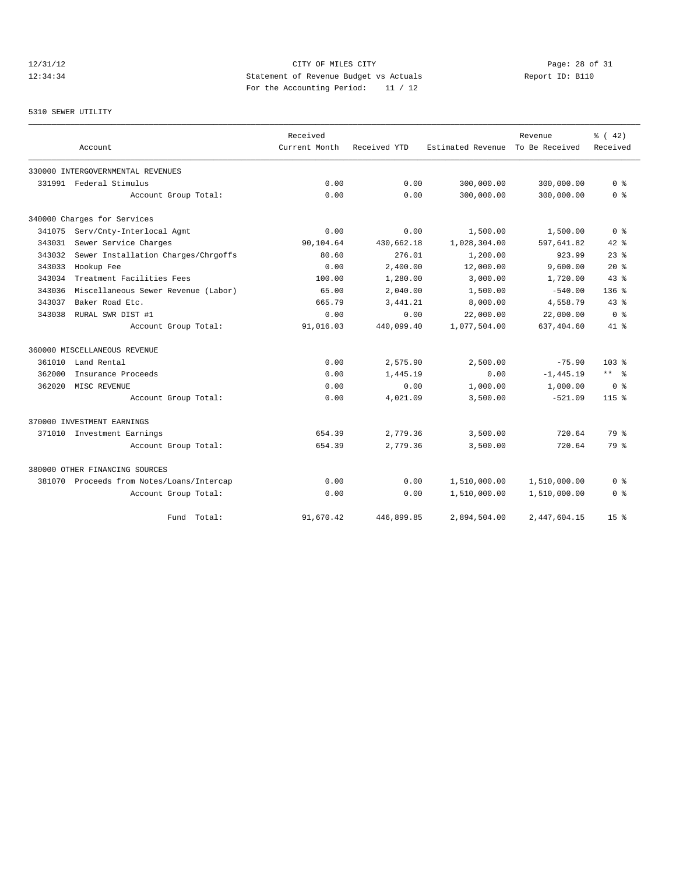# 12/31/12 Page: 28 of 31 12:34:34 Statement of Revenue Budget vs Actuals Report ID: B110<br>Report ID: B110 For the Accounting Period: 11 / 12

## 5310 SEWER UTILITY

|        |                                           | Received      |              |                                  | Revenue        | % (42)          |
|--------|-------------------------------------------|---------------|--------------|----------------------------------|----------------|-----------------|
|        | Account                                   | Current Month | Received YTD | Estimated Revenue To Be Received |                | Received        |
|        | 330000 INTERGOVERNMENTAL REVENUES         |               |              |                                  |                |                 |
|        | 331991 Federal Stimulus                   | 0.00          | 0.00         | 300,000.00                       | 300,000.00     | 0 <sup>8</sup>  |
|        | Account Group Total:                      | 0.00          | 0.00         | 300,000.00                       | 300,000.00     | 0 <sup>8</sup>  |
|        | 340000 Charges for Services               |               |              |                                  |                |                 |
| 341075 | Serv/Cnty-Interlocal Agmt                 | 0.00          | 0.00         | 1,500.00                         | 1,500.00       | 0 <sup>8</sup>  |
| 343031 | Sewer Service Charges                     | 90,104.64     | 430,662.18   | 1,028,304.00                     | 597,641.82     | $42$ %          |
| 343032 | Sewer Installation Charges/Chrgoffs       | 80.60         | 276.01       | 1,200.00                         | 923.99         | $23$ $%$        |
| 343033 | Hookup Fee                                | 0.00          | 2.400.00     | 12,000.00                        | 9.600.00       | $20*$           |
| 343034 | Treatment Facilities Fees                 | 100.00        | 1,280.00     | 3,000.00                         | 1,720.00       | 43.8            |
| 343036 | Miscellaneous Sewer Revenue (Labor)       | 65.00         | 2,040.00     | 1,500.00                         | $-540.00$      | $136$ %         |
| 343037 | Baker Road Etc.                           | 665.79        | 3, 441.21    | 8,000.00                         | 4,558.79       | 43.8            |
| 343038 | RURAL SWR DIST #1                         | 0.00          | 0.00         | 22,000.00                        | 22,000.00      | 0 <sup>8</sup>  |
|        | Account Group Total:                      | 91,016.03     | 440,099.40   | 1,077,504.00                     | 637,404.60     | 41.8            |
|        | 360000 MISCELLANEOUS REVENUE              |               |              |                                  |                |                 |
| 361010 | Land Rental                               | 0.00          | 2,575.90     | 2,500.00                         | $-75.90$       | $103*$          |
| 362000 | Insurance Proceeds                        | 0.00          | 1,445.19     | 0.00                             | $-1, 445.19$   | $***$ $ -$      |
| 362020 | MISC REVENUE                              | 0.00          | 0.00         | 1,000.00                         | 1,000.00       | 0 <sup>8</sup>  |
|        | Account Group Total:                      | 0.00          | 4,021.09     | 3,500.00                         | $-521.09$      | $115*$          |
|        | 370000 INVESTMENT EARNINGS                |               |              |                                  |                |                 |
|        | 371010 Investment Earnings                | 654.39        | 2,779.36     | 3,500.00                         | 720.64         | 79 %            |
|        | Account Group Total:                      | 654.39        | 2,779.36     | 3,500.00                         | 720.64         | 79 %            |
|        | 380000 OTHER FINANCING SOURCES            |               |              |                                  |                |                 |
|        | 381070 Proceeds from Notes/Loans/Intercap | 0.00          | 0.00         | 1,510,000.00                     | 1,510,000.00   | 0 %             |
|        | Account Group Total:                      | 0.00          | 0.00         | 1,510,000.00                     | 1,510,000.00   | 0 <sup>8</sup>  |
|        | Total:<br>Fund                            | 91,670.42     | 446,899.85   | 2,894,504.00                     | 2, 447, 604.15 | 15 <sup>8</sup> |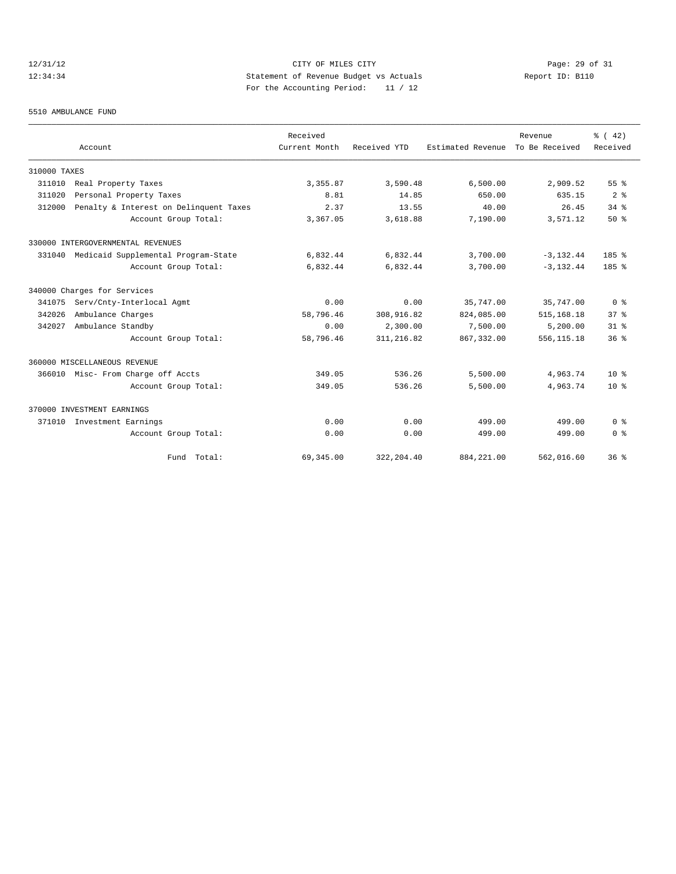# 12/31/12 Page: 29 of 31 12:34:34 Statement of Revenue Budget vs Actuals Report ID: B110 For the Accounting Period: 11 / 12

#### 5510 AMBULANCE FUND

|              |                                        | Received      |              |                   | Revenue        | % (42)          |
|--------------|----------------------------------------|---------------|--------------|-------------------|----------------|-----------------|
|              | Account                                | Current Month | Received YTD | Estimated Revenue | To Be Received | Received        |
| 310000 TAXES |                                        |               |              |                   |                |                 |
| 311010       | Real Property Taxes                    | 3, 355.87     | 3,590.48     | 6,500.00          | 2,909.52       | 55%             |
| 311020       | Personal Property Taxes                | 8.81          | 14.85        | 650.00            | 635.15         | 2 <sup>8</sup>  |
| 312000       | Penalty & Interest on Delinquent Taxes | 2.37          | 13.55        | 40.00             | 26.45          | $34$ $%$        |
|              | Account Group Total:                   | 3,367.05      | 3,618.88     | 7,190.00          | 3,571.12       | 50%             |
|              | 330000 INTERGOVERNMENTAL REVENUES      |               |              |                   |                |                 |
| 331040       | Medicaid Supplemental Program-State    | 6,832.44      | 6,832.44     | 3,700.00          | $-3, 132, 44$  | 185%            |
|              | Account Group Total:                   | 6,832.44      | 6,832.44     | 3,700.00          | $-3.132.44$    | 185%            |
|              | 340000 Charges for Services            |               |              |                   |                |                 |
| 341075       | Serv/Cnty-Interlocal Agmt              | 0.00          | 0.00         | 35,747.00         | 35,747.00      | 0 <sup>8</sup>  |
| 342026       | Ambulance Charges                      | 58,796.46     | 308,916.82   | 824,085.00        | 515, 168.18    | 37 <sup>8</sup> |
| 342027       | Ambulance Standby                      | 0.00          | 2,300.00     | 7,500.00          | 5,200.00       | 31.8            |
|              | Account Group Total:                   | 58,796.46     | 311,216.82   | 867, 332.00       | 556, 115.18    | 36 <sup>8</sup> |
|              | 360000 MISCELLANEOUS REVENUE           |               |              |                   |                |                 |
|              | 366010 Misc- From Charge off Accts     | 349.05        | 536.26       | 5,500.00          | 4,963.74       | $10*$           |
|              | Account Group Total:                   | 349.05        | 536.26       | 5,500.00          | 4,963.74       | $10*$           |
|              | 370000 INVESTMENT EARNINGS             |               |              |                   |                |                 |
| 371010       | Investment Earnings                    | 0.00          | 0.00         | 499.00            | 499.00         | 0 <sup>8</sup>  |
|              | Account Group Total:                   | 0.00          | 0.00         | 499.00            | 499.00         | 0 <sup>8</sup>  |
|              | Fund Total:                            | 69,345.00     | 322, 204.40  | 884, 221.00       | 562,016.60     | 36 <sup>8</sup> |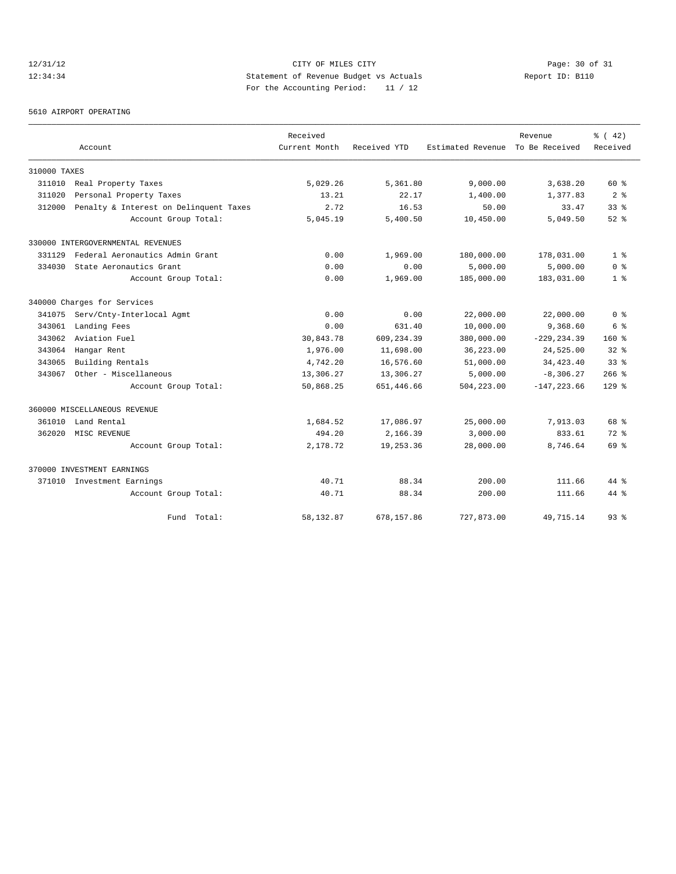# 12/31/12 Page: 30 of 31 12:34:34 Statement of Revenue Budget vs Actuals Report ID: B110 For the Accounting Period: 11 / 12

5610 AIRPORT OPERATING

|              |                                        | Received      |              |                   | Revenue        | % (42)          |
|--------------|----------------------------------------|---------------|--------------|-------------------|----------------|-----------------|
|              | Account                                | Current Month | Received YTD | Estimated Revenue | To Be Received | Received        |
| 310000 TAXES |                                        |               |              |                   |                |                 |
| 311010       | Real Property Taxes                    | 5,029.26      | 5,361.80     | 9,000.00          | 3,638.20       | $60*$           |
| 311020       | Personal Property Taxes                | 13.21         | 22.17        | 1,400.00          | 1,377.83       | 2 <sup>8</sup>  |
| 312000       | Penalty & Interest on Delinquent Taxes | 2.72          | 16.53        | 50.00             | 33.47          | $33*$           |
|              | Account Group Total:                   | 5,045.19      | 5,400.50     | 10,450.00         | 5,049.50       | $52$ $%$        |
|              | 330000 INTERGOVERNMENTAL REVENUES      |               |              |                   |                |                 |
| 331129       | Federal Aeronautics Admin Grant        | 0.00          | 1,969.00     | 180,000.00        | 178,031.00     | 1 <sup>8</sup>  |
| 334030       | State Aeronautics Grant                | 0.00          | 0.00         | 5,000.00          | 5,000.00       | 0 <sup>8</sup>  |
|              | Account Group Total:                   | 0.00          | 1,969.00     | 185,000.00        | 183,031.00     | 1 <sup>8</sup>  |
|              | 340000 Charges for Services            |               |              |                   |                |                 |
| 341075       | Serv/Cnty-Interlocal Agmt              | 0.00          | 0.00         | 22,000.00         | 22,000.00      | 0 <sup>8</sup>  |
| 343061       | Landing Fees                           | 0.00          | 631.40       | 10,000.00         | 9,368.60       | 6 %             |
| 343062       | Aviation Fuel                          | 30,843.78     | 609,234.39   | 380,000.00        | $-229, 234.39$ | 160%            |
| 343064       | Hangar Rent                            | 1,976.00      | 11,698.00    | 36,223.00         | 24,525.00      | 328             |
| 343065       | Building Rentals                       | 4,742.20      | 16,576.60    | 51,000.00         | 34, 423. 40    | 33 <sup>8</sup> |
| 343067       | Other - Miscellaneous                  | 13,306.27     | 13,306.27    | 5,000.00          | $-8,306.27$    | $266$ %         |
|              | Account Group Total:                   | 50,868.25     | 651,446.66   | 504,223.00        | $-147, 223.66$ | $129$ %         |
|              | 360000 MISCELLANEOUS REVENUE           |               |              |                   |                |                 |
| 361010       | Land Rental                            | 1,684.52      | 17,086.97    | 25,000.00         | 7,913.03       | 68 %            |
| 362020       | MISC REVENUE                           | 494.20        | 2,166.39     | 3,000.00          | 833.61         | $72$ $%$        |
|              | Account Group Total:                   | 2,178.72      | 19, 253.36   | 28,000.00         | 8,746.64       | 69 %            |
|              | 370000 INVESTMENT EARNINGS             |               |              |                   |                |                 |
|              | 371010 Investment Earnings             | 40.71         | 88.34        | 200.00            | 111.66         | $44$ $%$        |
|              | Account Group Total:                   | 40.71         | 88.34        | 200.00            | 111.66         | $44*$           |
|              | Fund Total:                            | 58, 132.87    | 678,157.86   | 727,873.00        | 49,715.14      | $93$ $%$        |